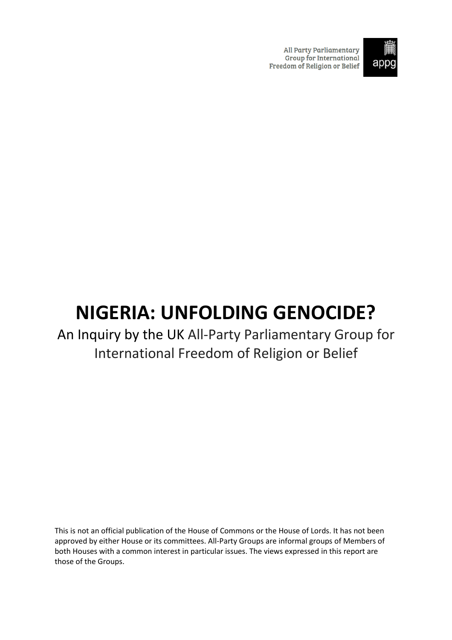**All Party Parliamentary** Group for International Freedom of Religion or Belief



# **NIGERIA: UNFOLDING GENOCIDE?**

# An Inquiry by the UK All-Party Parliamentary Group for International Freedom of Religion or Belief

This is not an official publication of the House of Commons or the House of Lords. It has not been approved by either House or its committees. All-Party Groups are informal groups of Members of both Houses with a common interest in particular issues. The views expressed in this report are those of the Groups.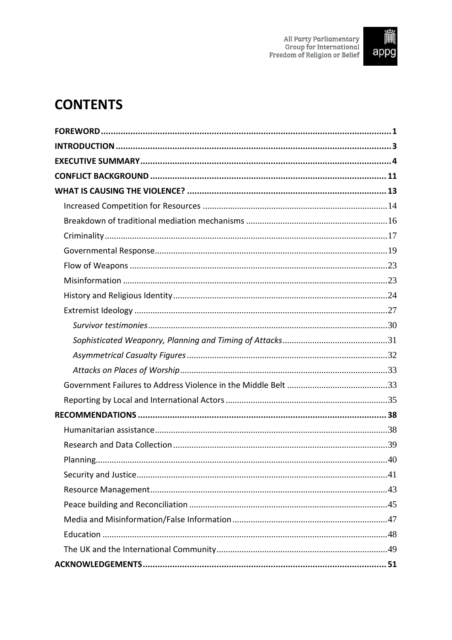

# **CONTENTS**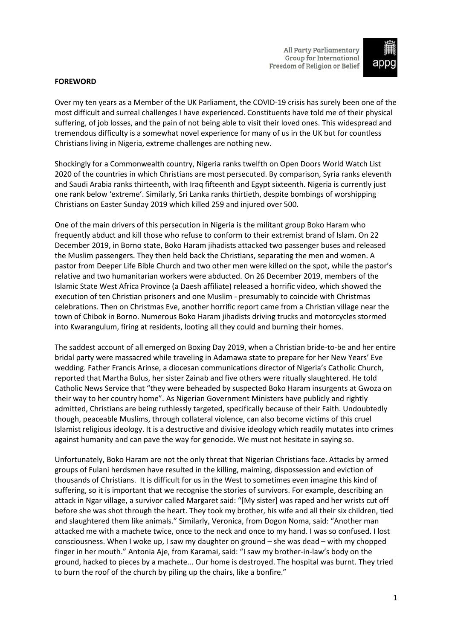

#### <span id="page-2-0"></span>**FOREWORD**

Over my ten years as a Member of the UK Parliament, the COVID-19 crisis has surely been one of the most difficult and surreal challenges I have experienced. Constituents have told me of their physical suffering, of job losses, and the pain of not being able to visit their loved ones. This widespread and tremendous difficulty is a somewhat novel experience for many of us in the UK but for countless Christians living in Nigeria, extreme challenges are nothing new.

Shockingly for a Commonwealth country, Nigeria ranks twelfth on Open Doors World Watch List 2020 of the countries in which Christians are most persecuted. By comparison, Syria ranks eleventh and Saudi Arabia ranks thirteenth, with Iraq fifteenth and Egypt sixteenth. Nigeria is currently just one rank below 'extreme'. Similarly, Sri Lanka ranks thirtieth, despite bombings of worshipping Christians on Easter Sunday 2019 which killed 259 and injured over 500.

One of the main drivers of this persecution in Nigeria is the militant group Boko Haram who frequently abduct and kill those who refuse to conform to their extremist brand of Islam. On 22 December 2019, in Borno state, Boko Haram jihadists attacked two passenger buses and released the Muslim passengers. They then held back the Christians, separating the men and women. A pastor from Deeper Life Bible Church and two other men were killed on the spot, while the pastor's relative and two humanitarian workers were abducted. On 26 December 2019, members of the Islamic State West Africa Province (a Daesh affiliate) released a horrific video, which showed the execution of ten Christian prisoners and one Muslim - presumably to coincide with Christmas celebrations. Then on Christmas Eve, another horrific report came from a Christian village near the town of Chibok in Borno. Numerous Boko Haram jihadists driving trucks and motorcycles stormed into Kwarangulum, firing at residents, looting all they could and burning their homes.

The saddest account of all emerged on Boxing Day 2019, when a Christian bride-to-be and her entire bridal party were massacred while traveling in Adamawa state to prepare for her New Years' Eve wedding. Father Francis Arinse, a diocesan communications director of Nigeria's Catholic Church, reported that Martha Bulus, her sister Zainab and five others were ritually slaughtered. He told Catholic News Service that "they were beheaded by suspected Boko Haram insurgents at Gwoza on their way to her country home". As Nigerian Government Ministers have publicly and rightly admitted, Christians are being ruthlessly targeted, specifically because of their Faith. Undoubtedly though, peaceable Muslims, through collateral violence, can also become victims of this cruel Islamist religious ideology. It is a destructive and divisive ideology which readily mutates into crimes against humanity and can pave the way for genocide. We must not hesitate in saying so.

Unfortunately, Boko Haram are not the only threat that Nigerian Christians face. Attacks by armed groups of Fulani herdsmen have resulted in the killing, maiming, dispossession and eviction of thousands of Christians. It is difficult for us in the West to sometimes even imagine this kind of suffering, so it is important that we recognise the stories of survivors. For example, describing an attack in Ngar village, a survivor called Margaret said: "[My sister] was raped and her wrists cut off before she was shot through the heart. They took my brother, his wife and all their six children, tied and slaughtered them like animals." Similarly, Veronica, from Dogon Noma, said: "Another man attacked me with a machete twice, once to the neck and once to my hand. I was so confused. I lost consciousness. When I woke up, I saw my daughter on ground – she was dead – with my chopped finger in her mouth." Antonia Aje, from Karamai, said: "I saw my brother-in-law's body on the ground, hacked to pieces by a machete... Our home is destroyed. The hospital was burnt. They tried to burn the roof of the church by piling up the chairs, like a bonfire."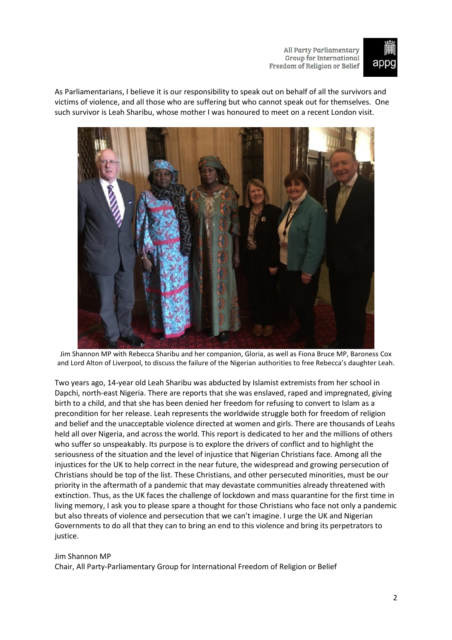

As Parliamentarians, I believe it is our responsibility to speak out on behalf of all the survivors and victims of violence, and all those who are suffering but who cannot speak out for themselves. One such survivor is Leah Sharibu, whose mother I was honoured to meet on a recent London visit.



Jim Shannon MP with Rebecca Sharibu and her companion, Gloria, as well as Fiona Bruce MP, Baroness Cox and Lord Alton of Liverpool, to discuss the failure of the Nigerian authorities to free Rebecca's daughter Leah.

Two years ago, 14-year old Leah Sharibu was abducted by Islamist extremists from her school in Dapchi, north-east Nigeria. There are reports that she was enslaved, raped and impregnated, giving birth to a child, and that she has been denied her freedom for refusing to convert to Islam as a precondition for her release. Leah represents the worldwide struggle both for freedom of religion and belief and the unacceptable violence directed at women and girls. There are thousands of Leahs held all over Nigeria, and across the world. This report is dedicated to her and the millions of others who suffer so unspeakably. Its purpose is to explore the drivers of conflict and to highlight the seriousness of the situation and the level of injustice that Nigerian Christians face. Among all the injustices for the UK to help correct in the near future, the widespread and growing persecution of Christians should be top of the list. These Christians, and other persecuted minorities, must be our priority in the aftermath of a pandemic that may devastate communities already threatened with extinction. Thus, as the UK faces the challenge of lockdown and mass quarantine for the first time in living memory, I ask you to please spare a thought for those Christians who face not only a pandemic but also threats of violence and persecution that we can't imagine. I urge the UK and Nigerian Governments to do all that they can to bring an end to this violence and bring its perpetrators to justice.

#### Jim Shannon MP

Chair, All Party-Parliamentary Group for International Freedom of Religion or Belief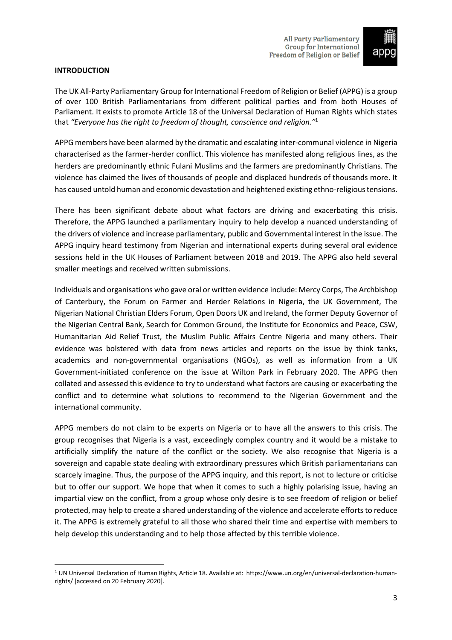

# <span id="page-4-0"></span>**INTRODUCTION**

The UK All-Party Parliamentary Group for International Freedom of Religion or Belief (APPG) is a group of over 100 British Parliamentarians from different political parties and from both Houses of Parliament. It exists to promote Article 18 of the Universal Declaration of Human Rights which states that *"Everyone has the right to freedom of thought, conscience and religion."*<sup>1</sup>

APPG members have been alarmed by the dramatic and escalating inter-communal violence in Nigeria characterised as the farmer-herder conflict. This violence has manifested along religious lines, as the herders are predominantly ethnic Fulani Muslims and the farmers are predominantly Christians. The violence has claimed the lives of thousands of people and displaced hundreds of thousands more. It has caused untold human and economic devastation and heightened existing ethno-religioustensions.

There has been significant debate about what factors are driving and exacerbating this crisis. Therefore, the APPG launched a parliamentary inquiry to help develop a nuanced understanding of the drivers of violence and increase parliamentary, public and Governmental interest in the issue. The APPG inquiry heard testimony from Nigerian and international experts during several oral evidence sessions held in the UK Houses of Parliament between 2018 and 2019. The APPG also held several smaller meetings and received written submissions.

Individuals and organisations who gave oral or written evidence include: Mercy Corps, The Archbishop of Canterbury, the Forum on Farmer and Herder Relations in Nigeria, the UK Government, The Nigerian National Christian Elders Forum, Open Doors UK and Ireland, the former Deputy Governor of the Nigerian Central Bank, Search for Common Ground, the Institute for Economics and Peace, CSW, Humanitarian Aid Relief Trust, the Muslim Public Affairs Centre Nigeria and many others. Their evidence was bolstered with data from news articles and reports on the issue by think tanks, academics and non-governmental organisations (NGOs), as well as information from a UK Government-initiated conference on the issue at Wilton Park in February 2020. The APPG then collated and assessed this evidence to try to understand what factors are causing or exacerbating the conflict and to determine what solutions to recommend to the Nigerian Government and the international community.

APPG members do not claim to be experts on Nigeria or to have all the answers to this crisis. The group recognises that Nigeria is a vast, exceedingly complex country and it would be a mistake to artificially simplify the nature of the conflict or the society. We also recognise that Nigeria is a sovereign and capable state dealing with extraordinary pressures which British parliamentarians can scarcely imagine. Thus, the purpose of the APPG inquiry, and this report, is not to lecture or criticise but to offer our support. We hope that when it comes to such a highly polarising issue, having an impartial view on the conflict, from a group whose only desire is to see freedom of religion or belief protected, may help to create a shared understanding of the violence and accelerate effortsto reduce it. The APPG is extremely grateful to all those who shared their time and expertise with members to help develop this understanding and to help those affected by this terrible violence.

<sup>1</sup> UN Universal Declaration of Human Rights, Article 18. Available at: https://www.un.org/en/universal-declaration-humanrights/ [accessed on 20 February 2020].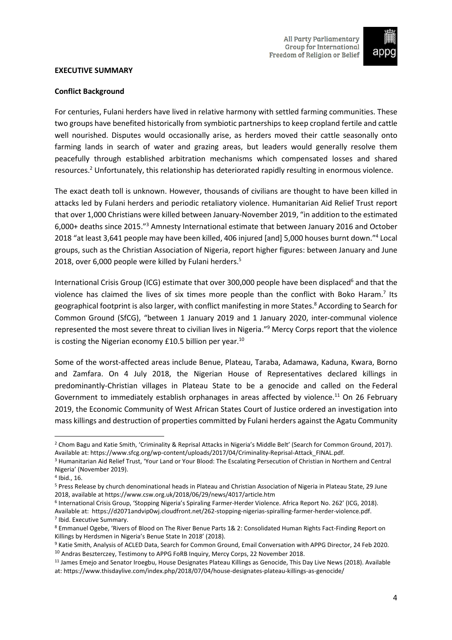

#### <span id="page-5-0"></span>**EXECUTIVE SUMMARY**

# **Conflict Background**

For centuries, Fulani herders have lived in relative harmony with settled farming communities. These two groups have benefited historically from symbiotic partnerships to keep cropland fertile and cattle well nourished. Disputes would occasionally arise, as herders moved their cattle seasonally onto farming lands in search of water and grazing areas, but leaders would generally resolve them peacefully through established arbitration mechanisms which compensated losses and shared resources.<sup>2</sup> Unfortunately, this relationship has deteriorated rapidly resulting in enormous violence.

The exact death toll is unknown. However, thousands of civilians are thought to have been killed in attacks led by Fulani herders and periodic retaliatory violence. Humanitarian Aid Relief Trust report that over 1,000 Christians were killed between January-November 2019, "in addition to the estimated 6,000+ deaths since 2015."<sup>3</sup> Amnesty International estimate that between January 2016 and October 2018 "at least 3,641 people may have been killed, 406 injured [and] 5,000 houses burnt down."<sup>4</sup> Local groups, such as the Christian Association of Nigeria, report higher figures: between January and June 2018, over 6,000 people were killed by Fulani herders.<sup>5</sup>

International Crisis Group (ICG) estimate that over 300,000 people have been displaced<sup>6</sup> and that the violence has claimed the lives of six times more people than the conflict with Boko Haram.<sup>7</sup> Its geographical footprint is also larger, with conflict manifesting in more States.<sup>8</sup> According to Search for Common Ground (SfCG), "between 1 January 2019 and 1 January 2020, inter-communal violence represented the most severe threat to civilian lives in Nigeria."<sup>9</sup> Mercy Corps report that the violence is costing the Nigerian economy £10.5 billion per year.<sup>10</sup>

Some of the worst-affected areas include Benue, Plateau, Taraba, Adamawa, Kaduna, Kwara, Borno and Zamfara. On 4 July 2018, the Nigerian House of Representatives declared killings in predominantly-Christian villages in Plateau State to be a genocide and called on the Federal Government to immediately establish orphanages in areas affected by violence.<sup>11</sup> On 26 February 2019, the Economic Community of West African States Court of Justice ordered an investigation into mass killings and destruction of properties committed by Fulani herders against the Agatu Community

<sup>&</sup>lt;sup>2</sup> Chom Bagu and Katie Smith, 'Criminality & Reprisal Attacks in Nigeria's Middle Belt' (Search for Common Ground, 2017). Available at: https://www.sfcg.org/wp-content/uploads/2017/04/Criminality-Reprisal-Attack\_FINAL.pdf.

<sup>&</sup>lt;sup>3</sup> Humanitarian Aid Relief Trust, 'Your Land or Your Blood: The Escalating Persecution of Christian in Northern and Central Nigeria' (November 2019).

<sup>4</sup> Ibid., 16.

<sup>5</sup> Press Release by church denominational heads in Plateau and Christian Association of Nigeria in Plateau State, 29 June 2018, available at <https://www.csw.org.uk/2018/06/29/news/4017/article.htm>

<sup>6</sup> International Crisis Group, 'Stopping Nigeria's Spiraling Farmer-Herder Violence. Africa Report No. 262' (ICG, 2018). Available at: https://d2071andvip0wj.cloudfront.net/262-stopping-nigerias-spiralling-farmer-herder-violence.pdf. 7 Ibid. Executive Summary.

<sup>8</sup> Emmanuel Ogebe, 'Rivers of Blood on The River Benue Parts 1& 2: Consolidated Human Rights Fact-Finding Report on Killings by Herdsmen in Nigeria's Benue State In 2018' (2018).

<sup>9</sup> Katie Smith, Analysis of ACLED Data, Search for Common Ground, Email Conversation with APPG Director, 24 Feb 2020. <sup>10</sup> Andras Beszterczey, Testimony to APPG FoRB Inquiry, Mercy Corps, 22 November 2018.

<sup>&</sup>lt;sup>11</sup> James Emejo and Senator Iroegbu, House Designates Plateau Killings as Genocide, This Day Live News (2018). Available at: <https://www.thisdaylive.com/index.php/2018/07/04/house-designates-plateau-killings-as-genocide/>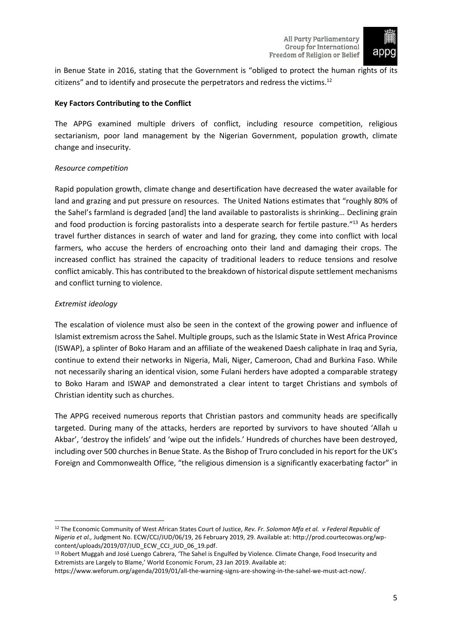

in Benue State in 2016, stating that the Government is "obliged to protect the human rights of its citizens" and to identify and prosecute the perpetrators and redress the victims.<sup>12</sup>

# **Key Factors Contributing to the Conflict**

The APPG examined multiple drivers of conflict, including resource competition, religious sectarianism, poor land management by the Nigerian Government, population growth, climate change and insecurity.

# *Resource competition*

Rapid population growth, climate change and desertification have decreased the water available for land and grazing and put pressure on resources. The United Nations estimates that "roughly 80% of the Sahel's farmland is degraded [and] the land available to pastoralists is shrinking… Declining grain and food production is forcing pastoralists into a desperate search for fertile pasture."<sup>13</sup> As herders travel further distances in search of water and land for grazing, they come into conflict with local farmers, who accuse the herders of encroaching onto their land and damaging their crops. The increased conflict has strained the capacity of traditional leaders to reduce tensions and resolve conflict amicably. This has contributed to the breakdown of historical dispute settlement mechanisms and conflict turning to violence.

# *Extremist ideology*

The escalation of violence must also be seen in the context of the growing power and influence of Islamist extremism across the Sahel. Multiple groups, such as the Islamic State in West Africa Province (ISWAP), a splinter of Boko Haram and an affiliate of the weakened Daesh caliphate in Iraq and Syria, continue to extend their networks in Nigeria, Mali, Niger, Cameroon, Chad and Burkina Faso. While not necessarily sharing an identical vision, some Fulani herders have adopted a comparable strategy to Boko Haram and ISWAP and demonstrated a clear intent to target Christians and symbols of Christian identity such as churches.

The APPG received numerous reports that Christian pastors and community heads are specifically targeted. During many of the attacks, herders are reported by survivors to have shouted 'Allah u Akbar', 'destroy the infidels' and 'wipe out the infidels.' Hundreds of churches have been destroyed, including over 500 churches in Benue State. Asthe Bishop of Truro concluded in hisreport for the UK's Foreign and Commonwealth Office, "the religious dimension is a significantly exacerbating factor" in

<sup>12</sup> The Economic Community of West African States Court of Justice, *Rev. Fr. Solomon Mfa et al. v Federal Republic of Nigeria et al.,* Judgment No. ECW/CCJ/JUD/06/19, 26 February 2019, 29. Available at: http://prod.courtecowas.org/wpcontent/uploads/2019/07/JUD\_ECW\_CCJ\_JUD\_06\_19.pdf.

<sup>13</sup> Robert Muggah and José Luengo Cabrera, 'The Sahel is Engulfed by Violence. Climate Change, Food Insecurity and Extremists are Largely to Blame,' World Economic Forum, 23 Jan 2019. Available at:

https://www.weforum.org/agenda/2019/01/all-the-warning-signs-are-showing-in-the-sahel-we-must-act-now/.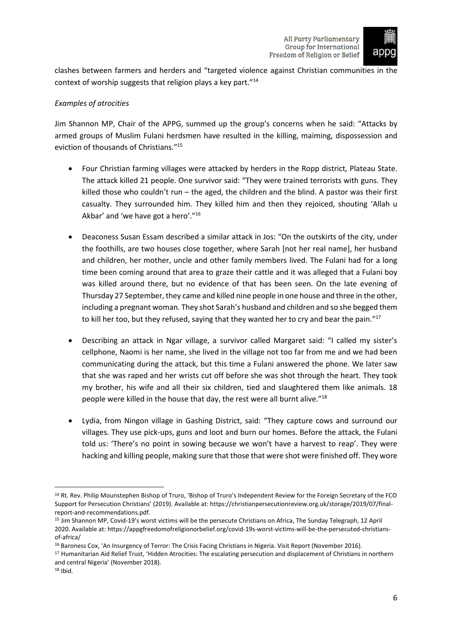

clashes between farmers and herders and "targeted violence against Christian communities in the context of worship suggests that religion plays a key part."<sup>14</sup>

# *Examples of atrocities*

Jim Shannon MP, Chair of the APPG, summed up the group's concerns when he said: "Attacks by armed groups of Muslim Fulani herdsmen have resulted in the killing, maiming, dispossession and eviction of thousands of Christians."<sup>15</sup>

- Four Christian farming villages were attacked by herders in the Ropp district, Plateau State. The attack killed 21 people. One survivor said: "They were trained terrorists with guns. They killed those who couldn't run – the aged, the children and the blind. A pastor was their first casualty. They surrounded him. They killed him and then they rejoiced, shouting 'Allah u Akbar' and 'we have got a hero'."<sup>16</sup>
- Deaconess Susan Essam described a similar attack in Jos: "On the outskirts of the city, under the foothills, are two houses close together, where Sarah [not her real name], her husband and children, her mother, uncle and other family members lived. The Fulani had for a long time been coming around that area to graze their cattle and it was alleged that a Fulani boy was killed around there, but no evidence of that has been seen. On the late evening of Thursday 27 September, they came and killed nine people in one house and three in the other, including a pregnant woman. They shot Sarah's husband and children and so she begged them to kill her too, but they refused, saying that they wanted her to cry and bear the pain."<sup>17</sup>
- Describing an attack in Ngar village, a survivor called Margaret said: "I called my sister's cellphone, Naomi is her name, she lived in the village not too far from me and we had been communicating during the attack, but this time a Fulani answered the phone. We later saw that she was raped and her wrists cut off before she was shot through the heart. They took my brother, his wife and all their six children, tied and slaughtered them like animals. 18 people were killed in the house that day, the rest were all burnt alive."<sup>18</sup>
- Lydia, from Ningon village in Gashing District, said: "They capture cows and surround our villages. They use pick-ups, guns and loot and burn our homes. Before the attack, the Fulani told us: 'There's no point in sowing because we won't have a harvest to reap'. They were hacking and killing people, making sure that those that were shot were finished off. They wore

<sup>14</sup> Rt. Rev. Philip Mounstephen Bishop of Truro, 'Bishop of Truro's Independent Review for the Foreign Secretary of the FCO Support for Persecution Christians' (2019). Available at: https://christianpersecutionreview.org.uk/storage/2019/07/finalreport-and-recommendations.pdf.

<sup>15</sup> Jim Shannon MP, Covid-19's worst victims will be the persecute Christians on Africa, The Sunday Telegraph, 12 April 2020. Available at: https://appgfreedomofreligionorbelief.org/covid-19s-worst-victims-will-be-the-persecuted-christiansof-africa/

<sup>&</sup>lt;sup>16</sup> Baroness Cox, 'An Insurgency of Terror: The Crisis Facing Christians in Nigeria. Visit Report (November 2016).

<sup>17</sup> Humanitarian Aid Relief Trust, 'Hidden Atrocities: The escalating persecution and displacement of Christians in northern and central Nigeria' (November 2018).

<sup>18</sup> Ibid.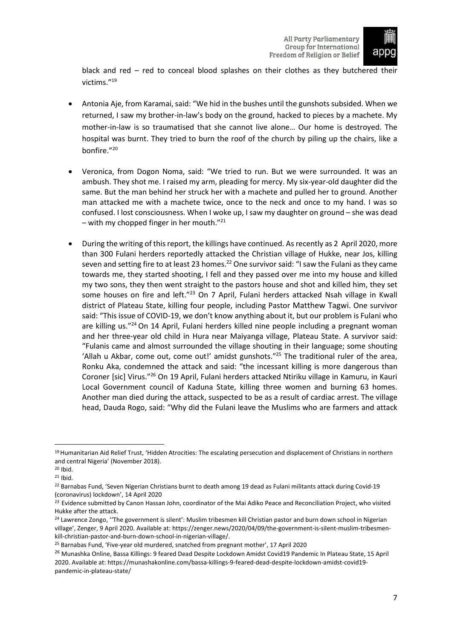

black and red – red to conceal blood splashes on their clothes as they butchered their victims."<sup>19</sup>

- Antonia Aje, from Karamai, said: "We hid in the bushes until the gunshots subsided. When we returned, I saw my brother-in-law's body on the ground, hacked to pieces by a machete. My mother-in-law is so traumatised that she cannot live alone… Our home is destroyed. The hospital was burnt. They tried to burn the roof of the church by piling up the chairs, like a bonfire." 20
- Veronica, from Dogon Noma, said: "We tried to run. But we were surrounded. It was an ambush. They shot me. I raised my arm, pleading for mercy. My six-year-old daughter did the same. But the man behind her struck her with a machete and pulled her to ground. Another man attacked me with a machete twice, once to the neck and once to my hand. I was so confused. I lost consciousness. When I woke up, I saw my daughter on ground – she was dead – with my chopped finger in her mouth. $"^{21}$
- During the writing of this report, the killings have continued. As recently as 2 April 2020, more than 300 Fulani herders reportedly attacked the Christian village of Hukke, near Jos, killing seven and setting fire to at least 23 homes.<sup>22</sup> One survivor said: "I saw the Fulani as they came towards me, they started shooting, I fell and they passed over me into my house and killed my two sons, they then went straight to the pastors house and shot and killed him, they set some houses on fire and left."<sup>23</sup> On 7 April, Fulani herders attacked Nsah village in Kwall district of Plateau State, killing four people, including Pastor Matthew Tagwi. One survivor said: "This issue of COVID-19, we don't know anything about it, but our problem is Fulani who are killing us."<sup>24</sup> On 14 April, Fulani herders killed nine people including a pregnant woman and her three-year old child in Hura near Maiyanga village, Plateau State. A survivor said: "Fulanis came and almost surrounded the village shouting in their language; some shouting 'Allah u Akbar, come out, come out!' amidst gunshots."<sup>25</sup> The traditional ruler of the area, Ronku Aka, condemned the attack and said: "the incessant killing is more dangerous than Coroner [sic] Virus."<sup>26</sup> On 19 April, Fulani herders attacked Ntiriku village in Kamuru, in Kauri Local Government council of Kaduna State, killing three women and burning 63 homes. Another man died during the attack, suspected to be as a result of cardiac arrest. The village head, Dauda Rogo, said: "Why did the Fulani leave the Muslims who are farmers and attack

<sup>19</sup> Humanitarian Aid Relief Trust, 'Hidden Atrocities: The escalating persecution and displacement of Christians in northern and central Nigeria' (November 2018).

<sup>20</sup> Ibid.

<sup>21</sup> Ibid.

<sup>&</sup>lt;sup>22</sup> Barnabas Fund, 'Seven Nigerian Christians burnt to death among 19 dead as Fulani militants attack during Covid-19 (coronavirus) lockdown', 14 April 2020

<sup>&</sup>lt;sup>23</sup> Evidence submitted by Canon Hassan John, coordinator of the Mai Adiko Peace and Reconciliation Project, who visited Hukke after the attack.

<sup>&</sup>lt;sup>24</sup> Lawrence Zongo, "The government is silent': Muslim tribesmen kill Christian pastor and burn down school in Nigerian village', Zenger, 9 April 2020. Available at: https://zenger.news/2020/04/09/the-government-is-silent-muslim-tribesmenkill-christian-pastor-and-burn-down-school-in-nigerian-village/.

<sup>25</sup> Barnabas Fund, 'Five-year old murdered, snatched from pregnant mother', 17 April 2020

<sup>&</sup>lt;sup>26</sup> Munashka Online, Bassa Killings: 9 feared Dead Despite Lockdown Amidst Covid19 Pandemic In Plateau State, 15 April 2020. Available at: https://munashakonline.com/bassa-killings-9-feared-dead-despite-lockdown-amidst-covid19 pandemic-in-plateau-state/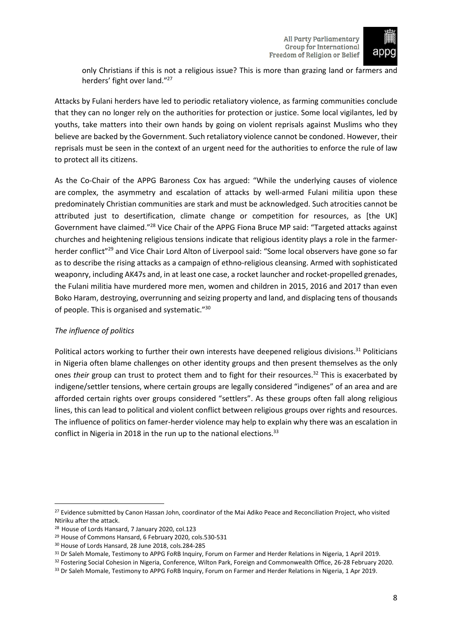

only Christians if this is not a religious issue? This is more than grazing land or farmers and herders' fight over land."<sup>27</sup>

Attacks by Fulani herders have led to periodic retaliatory violence, as farming communities conclude that they can no longer rely on the authorities for protection or justice. Some local vigilantes, led by youths, take matters into their own hands by going on violent reprisals against Muslims who they believe are backed by the Government. Such retaliatory violence cannot be condoned. However, their reprisals must be seen in the context of an urgent need for the authorities to enforce the rule of law to protect all its citizens.

As the Co-Chair of the APPG Baroness Cox has argued: "While the underlying causes of violence are complex, the asymmetry and escalation of attacks by well-armed Fulani militia upon these predominately Christian communities are stark and must be acknowledged. Such atrocities cannot be attributed just to desertification, climate change or competition for resources, as [the UK] Government have claimed."<sup>28</sup> Vice Chair of the APPG Fiona Bruce MP said: "Targeted attacks against churches and heightening religious tensions indicate that religious identity plays a role in the farmerherder conflict"<sup>29</sup> and Vice Chair Lord Alton of Liverpool said: "Some local observers have gone so far as to describe the rising attacks as a campaign of ethno-religious cleansing. Armed with sophisticated weaponry, including AK47s and, in at least one case, a rocket launcher and rocket-propelled grenades, the Fulani militia have murdered more men, women and children in 2015, 2016 and 2017 than even Boko Haram, destroying, overrunning and seizing property and land, and displacing tens of thousands of people. This is organised and systematic."<sup>30</sup>

# *The influence of politics*

Political actors working to further their own interests have deepened religious divisions.<sup>31</sup> Politicians in Nigeria often blame challenges on other identity groups and then present themselves as the only ones *their* group can trust to protect them and to fight for their resources.<sup>32</sup> This is exacerbated by indigene/settler tensions, where certain groups are legally considered "indigenes" of an area and are afforded certain rights over groups considered "settlers". As these groups often fall along religious lines, this can lead to political and violent conflict between religious groups over rights and resources. The influence of politics on famer-herder violence may help to explain why there was an escalation in conflict in Nigeria in 2018 in the run up to the national elections.<sup>33</sup>

<sup>&</sup>lt;sup>27</sup> Evidence submitted by Canon Hassan John, coordinator of the Mai Adiko Peace and Reconciliation Project, who visited Ntiriku after the attack.

<sup>28</sup> House of Lords Hansard, 7 January 2020, col.123

<sup>29</sup> House of Commons Hansard, 6 February 2020, cols.530-531

<sup>30</sup> House of Lords Hansard, 28 June 2018, cols.284-285

<sup>31</sup> Dr Saleh Momale, Testimony to APPG FoRB Inquiry, Forum on Farmer and Herder Relations in Nigeria, 1 April 2019.

<sup>&</sup>lt;sup>32</sup> Fostering Social Cohesion in Nigeria, Conference, Wilton Park, Foreign and Commonwealth Office, 26-28 February 2020.

<sup>&</sup>lt;sup>33</sup> Dr Saleh Momale, Testimony to APPG FoRB Inquiry, Forum on Farmer and Herder Relations in Nigeria, 1 Apr 2019.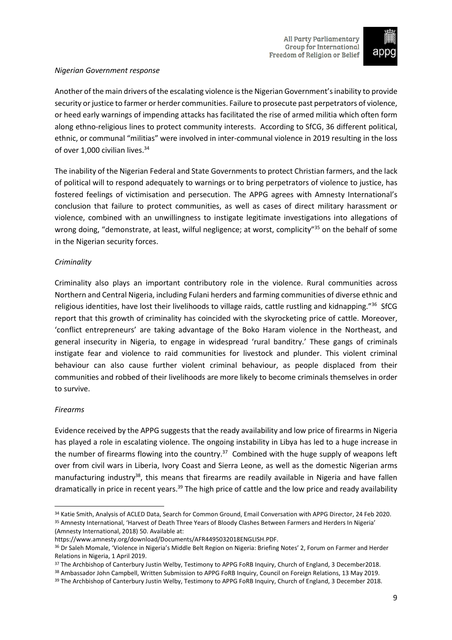

# *Nigerian Government response*

Another of the main drivers of the escalating violence isthe Nigerian Government'sinability to provide security or justice to farmer or herder communities. Failure to prosecute past perpetrators of violence, or heed early warnings of impending attacks has facilitated the rise of armed militia which often form along ethno-religious lines to protect community interests. According to SfCG, 36 different political, ethnic, or communal "militias" were involved in inter-communal violence in 2019 resulting in the loss of over 1,000 civilian lives.<sup>34</sup>

The inability of the Nigerian Federal and State Governments to protect Christian farmers, and the lack of political will to respond adequately to warnings or to bring perpetrators of violence to justice, has fostered feelings of victimisation and persecution. The APPG agrees with Amnesty International's conclusion that failure to protect communities, as well as cases of direct military harassment or violence, combined with an unwillingness to instigate legitimate investigations into allegations of wrong doing, "demonstrate, at least, wilful negligence; at worst, complicity"<sup>35</sup> on the behalf of some in the Nigerian security forces.

# *Criminality*

Criminality also plays an important contributory role in the violence. Rural communities across Northern and Central Nigeria, including Fulani herders and farming communities of diverse ethnic and religious identities, have lost their livelihoods to village raids, cattle rustling and kidnapping."<sup>36</sup> SfCG report that this growth of criminality has coincided with the skyrocketing price of cattle. Moreover, 'conflict entrepreneurs' are taking advantage of the Boko Haram violence in the Northeast, and general insecurity in Nigeria, to engage in widespread 'rural banditry.' These gangs of criminals instigate fear and violence to raid communities for livestock and plunder. This violent criminal behaviour can also cause further violent criminal behaviour, as people displaced from their communities and robbed of their livelihoods are more likely to become criminals themselves in order to survive.

# *Firearms*

Evidence received by the APPG suggests that the ready availability and low price of firearms in Nigeria has played a role in escalating violence. The ongoing instability in Libya has led to a huge increase in the number of firearms flowing into the country.<sup>37</sup> Combined with the huge supply of weapons left over from civil wars in Liberia, Ivory Coast and Sierra Leone, as well as the domestic Nigerian arms manufacturing industry<sup>38</sup>, this means that firearms are readily available in Nigeria and have fallen dramatically in price in recent years.<sup>39</sup> The high price of cattle and the low price and ready availability

<sup>34</sup> Katie Smith, Analysis of ACLED Data, Search for Common Ground, Email Conversation with APPG Director, 24 Feb 2020. <sup>35</sup> Amnesty International, 'Harvest of Death Three Years of Bloody Clashes Between Farmers and Herders In Nigeria' (Amnesty International, 2018) 50. Available at:

https://www.amnesty.org/download/Documents/AFR4495032018ENGLISH.PDF.

<sup>36</sup> Dr Saleh Momale, 'Violence in Nigeria's Middle Belt Region on Nigeria: Briefing Notes' 2, Forum on Farmer and Herder Relations in Nigeria, 1 April 2019.

<sup>37</sup> The Archbishop of Canterbury Justin Welby, Testimony to APPG FoRB Inquiry, Church of England, 3 December2018.

<sup>38</sup> Ambassador John Campbell, Written Submission to APPG FoRB Inquiry, Council on Foreign Relations, 13 May 2019.

<sup>&</sup>lt;sup>39</sup> The Archbishop of Canterbury Justin Welby, Testimony to APPG FoRB Inquiry, Church of England, 3 December 2018.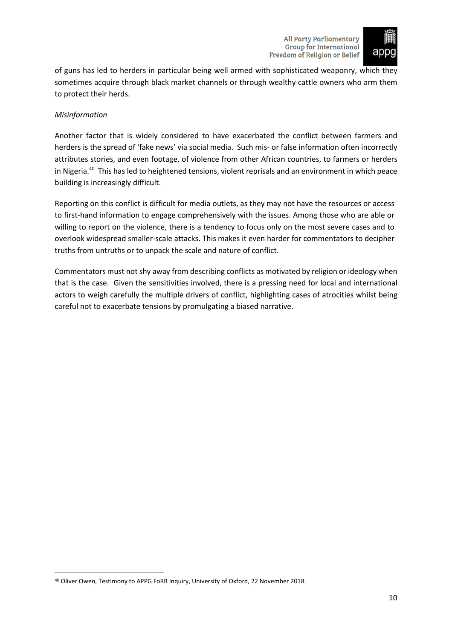

of guns has led to herders in particular being well armed with sophisticated weaponry, which they sometimes acquire through black market channels or through wealthy cattle owners who arm them to protect their herds.

# *Misinformation*

Another factor that is widely considered to have exacerbated the conflict between farmers and herders is the spread of 'fake news' via social media. Such mis- or false information often incorrectly attributes stories, and even footage, of violence from other African countries, to farmers or herders in Nigeria.<sup>40</sup> This has led to heightened tensions, violent reprisals and an environment in which peace building is increasingly difficult.

Reporting on this conflict is difficult for media outlets, as they may not have the resources or access to first-hand information to engage comprehensively with the issues. Among those who are able or willing to report on the violence, there is a tendency to focus only on the most severe cases and to overlook widespread smaller-scale attacks. This makes it even harder for commentators to decipher truths from untruths or to unpack the scale and nature of conflict.

Commentators must not shy away from describing conflicts as motivated by religion or ideology when that is the case. Given the sensitivities involved, there is a pressing need for local and international actors to weigh carefully the multiple drivers of conflict, highlighting cases of atrocities whilst being careful not to exacerbate tensions by promulgating a biased narrative.

<sup>40</sup> Oliver Owen, Testimony to APPG FoRB Inquiry, University of Oxford, 22 November 2018.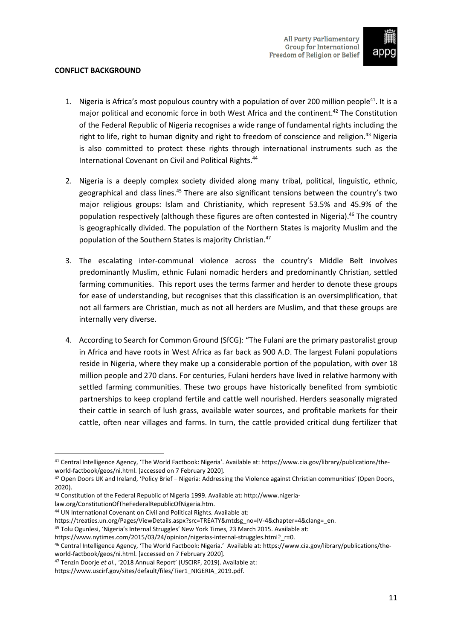

# <span id="page-12-0"></span>**CONFLICT BACKGROUND**

- 1. Nigeria is Africa's most populous country with a population of over 200 million people<sup>41</sup>. It is a major political and economic force in both West Africa and the continent.<sup>42</sup> The Constitution of the Federal Republic of Nigeria recognises a wide range of fundamental rights including the right to life, right to human dignity and right to freedom of conscience and religion.<sup>43</sup> Nigeria is also committed to protect these rights through international instruments such as the International Covenant on Civil and Political Rights.<sup>44</sup>
- 2. Nigeria is a deeply complex society divided along many tribal, political, linguistic, ethnic, geographical and class lines.<sup>45</sup> There are also significant tensions between the country's two major religious groups: Islam and Christianity, which represent 53.5% and 45.9% of the population respectively (although these figures are often contested in Nigeria).<sup>46</sup> The country is geographically divided. The population of the Northern States is majority Muslim and the population of the Southern States is majority Christian.<sup>47</sup>
- 3. The escalating inter-communal violence across the country's Middle Belt involves predominantly Muslim, ethnic Fulani nomadic herders and predominantly Christian, settled farming communities. This report uses the terms farmer and herder to denote these groups for ease of understanding, but recognises that this classification is an oversimplification, that not all farmers are Christian, much as not all herders are Muslim, and that these groups are internally very diverse.
- 4. According to Search for Common Ground (SfCG): "The Fulani are the primary pastoralist group in Africa and have roots in West Africa as far back as 900 A.D. The largest Fulani populations reside in Nigeria, where they make up a considerable portion of the population, with over 18 million people and 270 clans. For centuries, Fulani herders have lived in relative harmony with settled farming communities. These two groups have historically benefited from symbiotic partnerships to keep cropland fertile and cattle well nourished. Herders seasonally migrated their cattle in search of lush grass, available water sources, and profitable markets for their cattle, often near villages and farms. In turn, the cattle provided critical dung fertilizer that

law.org/ConstitutionOfTheFederalRepublicOfNigeria.htm.

<sup>41</sup> Central Intelligence Agency, 'The World Factbook: Nigeria'. Available at: https://www.cia.gov/library/publications/theworld-factbook/geos/ni.html. [accessed on 7 February 2020].

<sup>42</sup> Open Doors UK and Ireland, 'Policy Brief – Nigeria: Addressing the Violence against Christian communities' (Open Doors, 2020).

<sup>43</sup> Constitution of the Federal Republic of Nigeria 1999. Available at: http://www.nigeria-

<sup>44</sup> UN International Covenant on Civil and Political Rights. Available at:

https://treaties.un.org/Pages/ViewDetails.aspx?src=TREATY&mtdsg\_no=IV-4&chapter=4&clang=\_en.

<sup>45</sup> Tolu Ogunlesi, 'Nigeria's Internal Struggles' New York Times, 23 March 2015. Available at:

https://www.nytimes.com/2015/03/24/opinion/nigerias-internal-struggles.html? r=0.

<sup>46</sup> Central Intelligence Agency, 'The World Factbook: Nigeria.' Available at: https://www.cia.gov/library/publications/theworld-factbook/geos/ni.html. [accessed on 7 February 2020].

<sup>47</sup> Tenzin Doorje *et al*., '2018 Annual Report' (USCIRF, 2019). Available at:

https://www.uscirf.gov/sites/default/files/Tier1\_NIGERIA\_2019.pdf.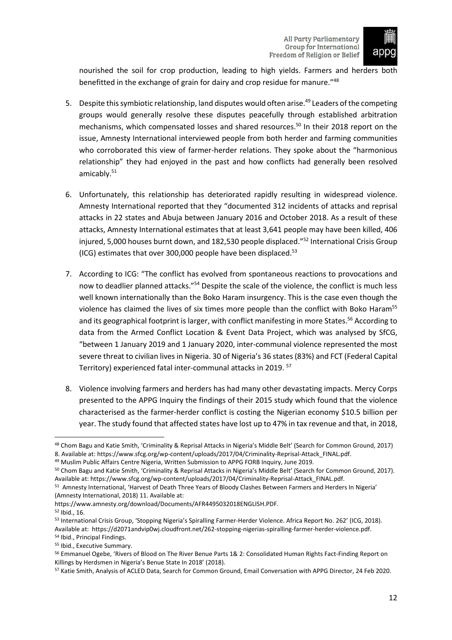

nourished the soil for crop production, leading to high yields. Farmers and herders both benefitted in the exchange of grain for dairy and crop residue for manure."<sup>48</sup>

- 5. Despite this symbiotic relationship, land disputes would often arise.<sup>49</sup> Leaders of the competing groups would generally resolve these disputes peacefully through established arbitration mechanisms, which compensated losses and shared resources.<sup>50</sup> In their 2018 report on the issue, Amnesty International interviewed people from both herder and farming communities who corroborated this view of farmer-herder relations. They spoke about the "harmonious relationship" they had enjoyed in the past and how conflicts had generally been resolved amicably.<sup>51</sup>
- 6. Unfortunately, this relationship has deteriorated rapidly resulting in widespread violence. Amnesty International reported that they "documented 312 incidents of attacks and reprisal attacks in 22 states and Abuja between January 2016 and October 2018. As a result of these attacks, Amnesty International estimates that at least 3,641 people may have been killed, 406 injured, 5,000 houses burnt down, and 182,530 people displaced."<sup>52</sup> International Crisis Group (ICG) estimates that over 300,000 people have been displaced.<sup>53</sup>
- 7. According to ICG: "The conflict has evolved from spontaneous reactions to provocations and now to deadlier planned attacks."<sup>54</sup> Despite the scale of the violence, the conflict is much less well known internationally than the Boko Haram insurgency. This is the case even though the violence has claimed the lives of six times more people than the conflict with Boko Haram<sup>55</sup> and its geographical footprint is larger, with conflict manifesting in more States.<sup>56</sup> According to data from the Armed Conflict Location & Event Data Project, which was analysed by SfCG, "between 1 January 2019 and 1 January 2020, inter-communal violence represented the most severe threat to civilian lives in Nigeria. 30 of Nigeria's 36 states (83%) and FCT (Federal Capital Territory) experienced fatal inter-communal attacks in 2019. <sup>57</sup>
- 8. Violence involving farmers and herders has had many other devastating impacts. Mercy Corps presented to the APPG Inquiry the findings of their 2015 study which found that the violence characterised as the farmer-herder conflict is costing the Nigerian economy \$10.5 billion per year. The study found that affected states have lost up to 47% in tax revenue and that, in 2018,

https://www.amnesty.org/download/Documents/AFR4495032018ENGLISH.PDF.

<sup>48</sup> Chom Bagu and Katie Smith, 'Criminality & Reprisal Attacks in Nigeria's Middle Belt' (Search for Common Ground, 2017) 8. Available at: https://www.sfcg.org/wp-content/uploads/2017/04/Criminality-Reprisal-Attack FINAL.pdf.

<sup>49</sup> Muslim Public Affairs Centre Nigeria, Written Submission to APPG FORB Inquiry, June 2019.

<sup>50</sup> Chom Bagu and Katie Smith, 'Criminality & Reprisal Attacks in Nigeria's Middle Belt' (Search for Common Ground, 2017). Available at: https://www.sfcg.org/wp-content/uploads/2017/04/Criminality-Reprisal-Attack\_FINAL.pdf.

<sup>51</sup> Amnesty International, 'Harvest of Death Three Years of Bloody Clashes Between Farmers and Herders In Nigeria' (Amnesty International, 2018) 11. Available at:

<sup>52</sup> Ibid., 16.

<sup>53</sup> International Crisis Group, 'Stopping Nigeria's Spiralling Farmer-Herder Violence. Africa Report No. 262' (ICG, 2018). Available at: https://d2071andvip0wj.cloudfront.net/262-stopping-nigerias-spiralling-farmer-herder-violence.pdf.

<sup>54</sup> Ibid., Principal Findings.

<sup>55</sup> Ibid., Executive Summary.

<sup>56</sup> Emmanuel Ogebe, 'Rivers of Blood on The River Benue Parts 1& 2: Consolidated Human Rights Fact-Finding Report on Killings by Herdsmen in Nigeria's Benue State In 2018' (2018).

<sup>57</sup> Katie Smith, Analysis of ACLED Data, Search for Common Ground, Email Conversation with APPG Director, 24 Feb 2020.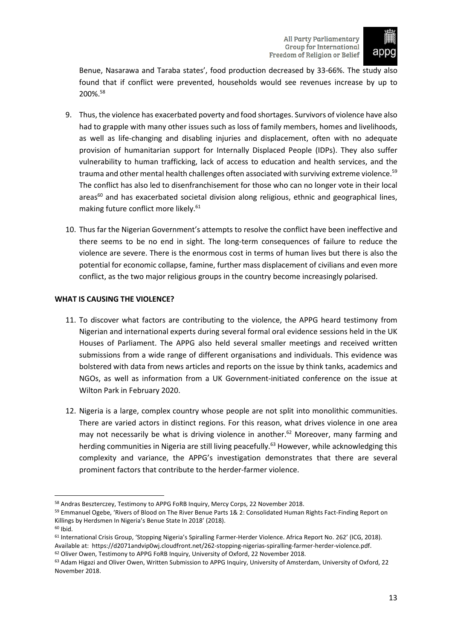

Benue, Nasarawa and Taraba states', food production decreased by 33-66%. The study also found that if conflict were prevented, households would see revenues increase by up to 200%.<sup>58</sup>

- 9. Thus, the violence has exacerbated poverty and food shortages. Survivors of violence have also had to grapple with many other issues such as loss of family members, homes and livelihoods, as well as life-changing and disabling injuries and displacement, often with no adequate provision of humanitarian support for Internally Displaced People (IDPs). They also suffer vulnerability to human trafficking, lack of access to education and health services, and the trauma and other mental health challenges often associated with surviving extreme violence.<sup>59</sup> The conflict has also led to disenfranchisement for those who can no longer vote in their local areas<sup>60</sup> and has exacerbated societal division along religious, ethnic and geographical lines, making future conflict more likely.<sup>61</sup>
- 10. Thus far the Nigerian Government's attempts to resolve the conflict have been ineffective and there seems to be no end in sight. The long-term consequences of failure to reduce the violence are severe. There is the enormous cost in terms of human lives but there is also the potential for economic collapse, famine, further mass displacement of civilians and even more conflict, as the two major religious groups in the country become increasingly polarised.

# <span id="page-14-0"></span>**WHAT IS CAUSING THE VIOLENCE?**

- 11. To discover what factors are contributing to the violence, the APPG heard testimony from Nigerian and international experts during several formal oral evidence sessions held in the UK Houses of Parliament. The APPG also held several smaller meetings and received written submissions from a wide range of different organisations and individuals. This evidence was bolstered with data from news articles and reports on the issue by think tanks, academics and NGOs, as well as information from a UK Government-initiated conference on the issue at Wilton Park in February 2020.
- 12. Nigeria is a large, complex country whose people are not split into monolithic communities. There are varied actors in distinct regions. For this reason, what drives violence in one area may not necessarily be what is driving violence in another.<sup>62</sup> Moreover, many farming and herding communities in Nigeria are still living peacefully.<sup>63</sup> However, while acknowledging this complexity and variance, the APPG's investigation demonstrates that there are several prominent factors that contribute to the herder-farmer violence.

<sup>58</sup> Andras Beszterczey, Testimony to APPG FoRB Inquiry, Mercy Corps, 22 November 2018.

<sup>59</sup> Emmanuel Ogebe, 'Rivers of Blood on The River Benue Parts 1& 2: Consolidated Human Rights Fact-Finding Report on Killings by Herdsmen In Nigeria's Benue State In 2018' (2018).

<sup>60</sup> Ibid.

<sup>61</sup> International Crisis Group, 'Stopping Nigeria's Spiralling Farmer-Herder Violence. Africa Report No. 262' (ICG, 2018). Available at: https://d2071andvip0wj.cloudfront.net/262-stopping-nigerias-spiralling-farmer-herder-violence.pdf. <sup>62</sup> Oliver Owen, Testimony to APPG FoRB Inquiry, University of Oxford, 22 November 2018.

<sup>63</sup> Adam Higazi and Oliver Owen, Written Submission to APPG Inquiry, University of Amsterdam, University of Oxford, 22 November 2018.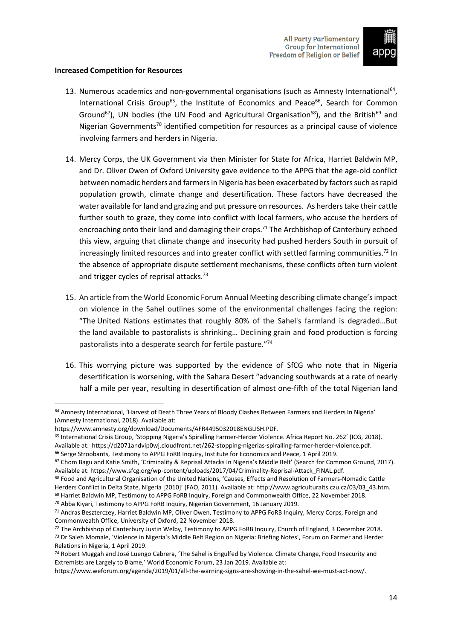

#### <span id="page-15-0"></span>**Increased Competition for Resources**

- 13. Numerous academics and non-governmental organisations (such as Amnesty International<sup>64</sup>, International Crisis Group<sup>65</sup>, the Institute of Economics and Peace<sup>66</sup>, Search for Common Ground<sup>67</sup>), UN bodies (the UN Food and Agricultural Organisation<sup>68</sup>), and the British<sup>69</sup> and Nigerian Governments<sup>70</sup> identified competition for resources as a principal cause of violence involving farmers and herders in Nigeria.
- 14. Mercy Corps, the UK Government via then Minister for State for Africa, Harriet Baldwin MP, and Dr. Oliver Owen of Oxford University gave evidence to the APPG that the age-old conflict between nomadic herders and farmers in Nigeria has been exacerbated by factors such as rapid population growth, climate change and desertification. These factors have decreased the water available for land and grazing and put pressure on resources. As herders take their cattle further south to graze, they come into conflict with local farmers, who accuse the herders of encroaching onto their land and damaging their crops.<sup>71</sup> The Archbishop of Canterbury echoed this view, arguing that climate change and insecurity had pushed herders South in pursuit of increasingly limited resources and into greater conflict with settled farming communities.<sup>72</sup> In the absence of appropriate dispute settlement mechanisms, these conflicts often turn violent and trigger cycles of reprisal attacks.<sup>73</sup>
- 15. An article from the World Economic Forum Annual Meeting describing climate change'simpact on violence in the Sahel outlines some of the environmental challenges facing the region: "The United Nations estimates that roughly 80% of the Sahel's farmland is degraded…But the land available to pastoralists is shrinking… Declining grain and food production is forcing pastoralists into a desperate search for fertile pasture."<sup>74</sup>
- 16. This worrying picture was supported by the evidence of SfCG who note that in Nigeria desertification is worsening, with the Sahara Desert "advancing southwards at a rate of nearly half a mile per year, resulting in desertification of almost one-fifth of the total Nigerian land

<sup>70</sup> Abba Kiyari, Testimony to APPG FoRB Inquiry, Nigerian Government, 16 January 2019.

<sup>64</sup> Amnesty International, 'Harvest of Death Three Years of Bloody Clashes Between Farmers and Herders In Nigeria' (Amnesty International, 2018). Available at:

https://www.amnesty.org/download/Documents/AFR4495032018ENGLISH.PDF.

<sup>65</sup> International Crisis Group, 'Stopping Nigeria's Spiralling Farmer-Herder Violence. Africa Report No. 262' (ICG, 2018).

Available at: https://d2071andvip0wj.cloudfront.net/262-stopping-nigerias-spiralling-farmer-herder-violence.pdf. <sup>66</sup> Serge Stroobants, Testimony to APPG FoRB Inquiry, Institute for Economics and Peace, 1 April 2019.

<sup>&</sup>lt;sup>67</sup> Chom Bagu and Katie Smith, 'Criminality & Reprisal Attacks In Nigeria's Middle Belt' (Search for Common Ground, 2017). Available at: https://www.sfcg.org/wp-content/uploads/2017/04/Criminality-Reprisal-Attack\_FINAL.pdf.

<sup>68</sup> Food and Agricultural Organisation of the United Nations, 'Causes, Effects and Resolution of Farmers-Nomadic Cattle Herders Conflict in Delta State, Nigeria [2010]' (FAO, 2011). Available at: http://www.agriculturaits.czu.cz/03/03\_43.htm. <sup>69</sup> Harriet Baldwin MP, Testimony to APPG FoRB Inquiry, Foreign and Commonwealth Office, 22 November 2018.

<sup>71</sup> Andras Beszterczey, Harriet Baldwin MP, Oliver Owen, Testimony to APPG FoRB Inquiry, Mercy Corps, Foreign and Commonwealth Office, University of Oxford, 22 November 2018.

<sup>72</sup> The Archbishop of Canterbury Justin Welby, Testimony to APPG FoRB Inquiry, Church of England, 3 December 2018. <sup>73</sup> Dr Saleh Momale, 'Violence in Nigeria's Middle Belt Region on Nigeria: Briefing Notes', Forum on Farmer and Herder Relations in Nigeria, 1 April 2019.

<sup>74</sup> Robert Muggah and José Luengo Cabrera, 'The Sahel is Engulfed by Violence. Climate Change, Food Insecurity and Extremists are Largely to Blame,' World Economic Forum, 23 Jan 2019. Available at:

https://www.weforum.org/agenda/2019/01/all-the-warning-signs-are-showing-in-the-sahel-we-must-act-now/.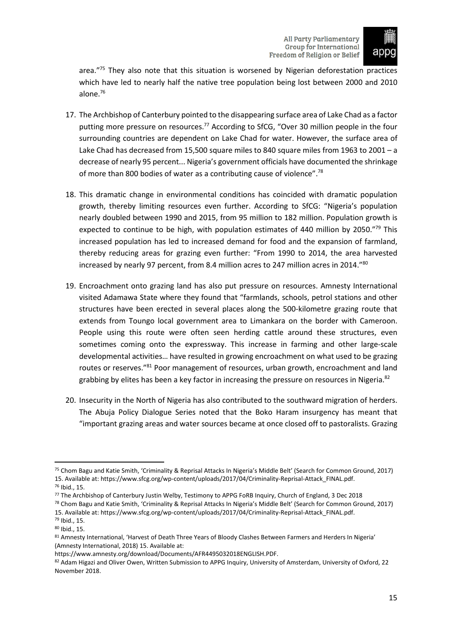

area."75 They also note that this situation is worsened by Nigerian deforestation practices which have led to nearly half the native tree population being lost between 2000 and 2010 alone.<sup>76</sup>

- 17. The Archbishop of Canterbury pointed to the disappearing surface area of Lake Chad as a factor putting more pressure on resources.<sup>77</sup> According to SfCG, "Over 30 million people in the four surrounding countries are dependent on Lake Chad for water. However, the surface area of Lake Chad has decreased from 15,500 square miles to 840 square miles from 1963 to 2001 – a decrease of nearly 95 percent... Nigeria's government officials have documented the shrinkage of more than 800 bodies of water as a contributing cause of violence".<sup>78</sup>
- 18. This dramatic change in environmental conditions has coincided with dramatic population growth, thereby limiting resources even further. According to SfCG: "Nigeria's population nearly doubled between 1990 and 2015, from 95 million to 182 million. Population growth is expected to continue to be high, with population estimates of 440 million by 2050."<sup>79</sup> This increased population has led to increased demand for food and the expansion of farmland, thereby reducing areas for grazing even further: "From 1990 to 2014, the area harvested increased by nearly 97 percent, from 8.4 million acres to 247 million acres in 2014."80
- 19. Encroachment onto grazing land has also put pressure on resources. Amnesty International visited Adamawa State where they found that "farmlands, schools, petrol stations and other structures have been erected in several places along the 500-kilometre grazing route that extends from Toungo local government area to Limankara on the border with Cameroon. People using this route were often seen herding cattle around these structures, even sometimes coming onto the expressway. This increase in farming and other large-scale developmental activities… have resulted in growing encroachment on what used to be grazing routes or reserves."<sup>81</sup> Poor management of resources, urban growth, encroachment and land grabbing by elites has been a key factor in increasing the pressure on resources in Nigeria.<sup>82</sup>
- 20. Insecurity in the North of Nigeria has also contributed to the southward migration of herders. The Abuja Policy Dialogue Series noted that the Boko Haram insurgency has meant that "important grazing areas and water sources became at once closed off to pastoralists. Grazing

<sup>75</sup> Chom Bagu and Katie Smith, 'Criminality & Reprisal Attacks In Nigeria's Middle Belt' (Search for Common Ground, 2017) 15. Available at: https://www.sfcg.org/wp-content/uploads/2017/04/Criminality-Reprisal-Attack\_FINAL.pdf.

<sup>76</sup> Ibid., 15.

<sup>77</sup> The Archbishop of Canterbury Justin Welby, Testimony to APPG FoRB Inquiry, Church of England, 3 Dec 2018

<sup>78</sup> Chom Bagu and Katie Smith, 'Criminality & Reprisal Attacks In Nigeria's Middle Belt' (Search for Common Ground, 2017) 15. Available at: https://www.sfcg.org/wp-content/uploads/2017/04/Criminality-Reprisal-Attack\_FINAL.pdf. <sup>79</sup> Ibid., 15.

<sup>80</sup> Ibid., 15.

<sup>81</sup> Amnesty International, 'Harvest of Death Three Years of Bloody Clashes Between Farmers and Herders In Nigeria' (Amnesty International, 2018) 15. Available at:

https://www.amnesty.org/download/Documents/AFR4495032018ENGLISH.PDF.

<sup>82</sup> Adam Higazi and Oliver Owen, Written Submission to APPG Inquiry, University of Amsterdam, University of Oxford, 22 November 2018.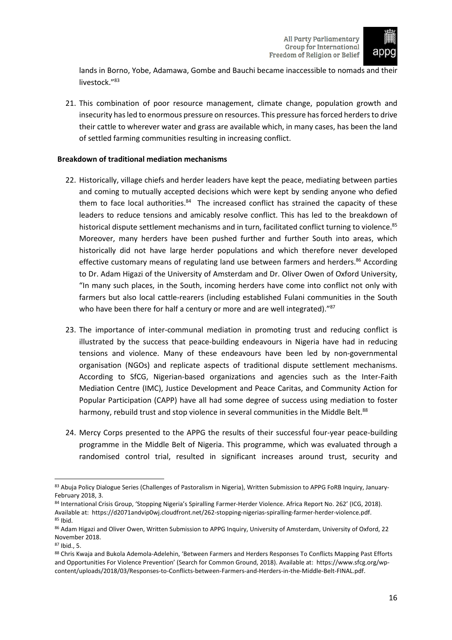

lands in Borno, Yobe, Adamawa, Gombe and Bauchi became inaccessible to nomads and their livestock."<sup>83</sup>

21. This combination of poor resource management, climate change, population growth and insecurity has led to enormous pressure on resources. This pressure has forced herders to drive their cattle to wherever water and grass are available which, in many cases, has been the land of settled farming communities resulting in increasing conflict.

# <span id="page-17-0"></span>**Breakdown of traditional mediation mechanisms**

- 22. Historically, village chiefs and herder leaders have kept the peace, mediating between parties and coming to mutually accepted decisions which were kept by sending anyone who defied them to face local authorities.<sup>84</sup> The increased conflict has strained the capacity of these leaders to reduce tensions and amicably resolve conflict. This has led to the breakdown of historical dispute settlement mechanisms and in turn, facilitated conflict turning to violence.<sup>85</sup> Moreover, many herders have been pushed further and further South into areas, which historically did not have large herder populations and which therefore never developed effective customary means of regulating land use between farmers and herders.<sup>86</sup> According to Dr. Adam Higazi of the University of Amsterdam and Dr. Oliver Owen of Oxford University, "In many such places, in the South, incoming herders have come into conflict not only with farmers but also local cattle-rearers (including established Fulani communities in the South who have been there for half a century or more and are well integrated)."<sup>87</sup>
- 23. The importance of inter-communal mediation in promoting trust and reducing conflict is illustrated by the success that peace-building endeavours in Nigeria have had in reducing tensions and violence. Many of these endeavours have been led by non-governmental organisation (NGOs) and replicate aspects of traditional dispute settlement mechanisms. According to SfCG, Nigerian-based organizations and agencies such as the Inter-Faith Mediation Centre (IMC), Justice Development and Peace Caritas, and Community Action for Popular Participation (CAPP) have all had some degree of success using mediation to foster harmony, rebuild trust and stop violence in several communities in the Middle Belt.<sup>88</sup>
- 24. Mercy Corps presented to the APPG the results of their successful four-year peace-building programme in the Middle Belt of Nigeria. This programme, which was evaluated through a randomised control trial, resulted in significant increases around trust, security and

<sup>83</sup> Abuja Policy Dialogue Series (Challenges of Pastoralism in Nigeria), Written Submission to APPG FoRB Inquiry, January-February 2018, 3.

<sup>84</sup> International Crisis Group, 'Stopping Nigeria's Spiralling Farmer-Herder Violence. Africa Report No. 262' (ICG, 2018). Available at: https://d2071andvip0wj.cloudfront.net/262-stopping-nigerias-spiralling-farmer-herder-violence.pdf.  $85$  Ibid.

<sup>86</sup> Adam Higazi and Oliver Owen, Written Submission to APPG Inquiry, University of Amsterdam, University of Oxford, 22 November 2018.

<sup>87</sup> Ibid., 5.

<sup>88</sup> Chris Kwaja and Bukola Ademola-Adelehin, 'Between Farmers and Herders Responses To Conflicts Mapping Past Efforts and Opportunities For Violence Prevention' (Search for Common Ground, 2018). Available at: https://www.sfcg.org/wpcontent/uploads/2018/03/Responses-to-Conflicts-between-Farmers-and-Herders-in-the-Middle-Belt-FINAL.pdf.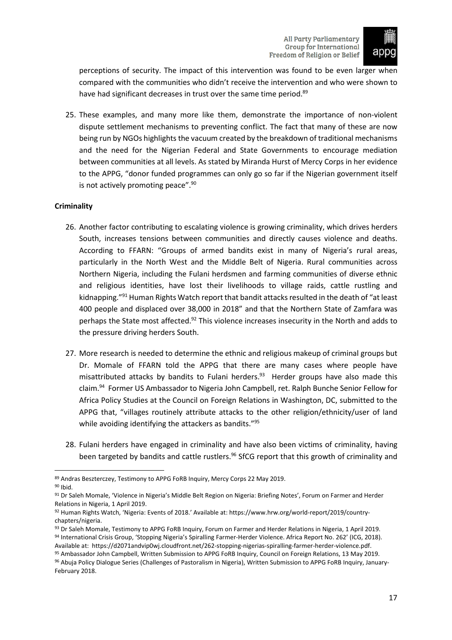

perceptions of security. The impact of this intervention was found to be even larger when compared with the communities who didn't receive the intervention and who were shown to have had significant decreases in trust over the same time period.<sup>89</sup>

25. These examples, and many more like them, demonstrate the importance of non-violent dispute settlement mechanisms to preventing conflict. The fact that many of these are now being run by NGOs highlights the vacuum created by the breakdown of traditional mechanisms and the need for the Nigerian Federal and State Governments to encourage mediation between communities at all levels. As stated by Miranda Hurst of Mercy Corps in her evidence to the APPG, "donor funded programmes can only go so far if the Nigerian government itself is not actively promoting peace". $90$ 

# <span id="page-18-0"></span>**Criminality**

- 26. Another factor contributing to escalating violence is growing criminality, which drives herders South, increases tensions between communities and directly causes violence and deaths. According to FFARN: "Groups of armed bandits exist in many of Nigeria's rural areas, particularly in the North West and the Middle Belt of Nigeria. Rural communities across Northern Nigeria, including the Fulani herdsmen and farming communities of diverse ethnic and religious identities, have lost their livelihoods to village raids, cattle rustling and kidnapping."<sup>91</sup> Human Rights Watch report that bandit attacks resulted in the death of "at least 400 people and displaced over 38,000 in 2018" and that the Northern State of Zamfara was perhaps the State most affected.<sup>92</sup> This violence increases insecurity in the North and adds to the pressure driving herders South.
- 27. More research is needed to determine the ethnic and religious makeup of criminal groups but Dr. Momale of FFARN told the APPG that there are many cases where people have misattributed attacks by bandits to Fulani herders.<sup>93</sup> Herder groups have also made this claim.<sup>94</sup> Former US Ambassador to Nigeria John Campbell, ret. Ralph Bunche Senior Fellow for Africa Policy Studies at the Council on Foreign Relations in Washington, DC, submitted to the APPG that, "villages routinely attribute attacks to the other religion/ethnicity/user of land while avoiding identifying the attackers as bandits."<sup>95</sup>
- 28. Fulani herders have engaged in criminality and have also been victims of criminality, having been targeted by bandits and cattle rustlers.<sup>96</sup> SfCG report that this growth of criminality and

95 Ambassador John Campbell, Written Submission to APPG FoRB Inquiry, Council on Foreign Relations, 13 May 2019.

<sup>89</sup> Andras Beszterczey, Testimony to APPG FoRB Inquiry, Mercy Corps 22 May 2019.

<sup>90</sup> Ibid.

<sup>91</sup> Dr Saleh Momale, 'Violence in Nigeria's Middle Belt Region on Nigeria: Briefing Notes', Forum on Farmer and Herder Relations in Nigeria, 1 April 2019.

<sup>92</sup> Human Rights Watch, 'Nigeria: Events of 2018.' Available at: https://www.hrw.org/world-report/2019/countrychapters/nigeria.

<sup>93</sup> Dr Saleh Momale, Testimony to APPG FoRB Inquiry, Forum on Farmer and Herder Relations in Nigeria, 1 April 2019. 94 International Crisis Group, 'Stopping Nigeria's Spiralling Farmer-Herder Violence. Africa Report No. 262' (ICG, 2018). Available at: https://d2071andvip0wj.cloudfront.net/262-stopping-nigerias-spiralling-farmer-herder-violence.pdf.

<sup>96</sup> Abuja Policy Dialogue Series (Challenges of Pastoralism in Nigeria), Written Submission to APPG FoRB Inquiry, January-February 2018.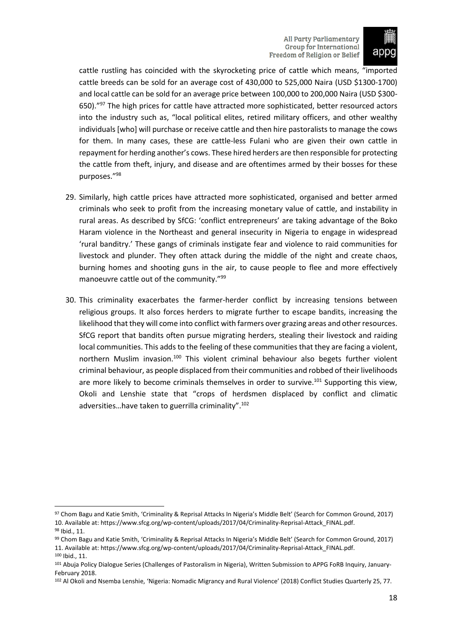

cattle rustling has coincided with the skyrocketing price of cattle which means, "imported cattle breeds can be sold for an average cost of 430,000 to 525,000 Naira (USD \$1300-1700) and local cattle can be sold for an average price between 100,000 to 200,000 Naira (USD \$300- 650)."<sup>97</sup> The high prices for cattle have attracted more sophisticated, better resourced actors into the industry such as, "local political elites, retired military officers, and other wealthy individuals [who] will purchase or receive cattle and then hire pastoralists to manage the cows for them. In many cases, these are cattle-less Fulani who are given their own cattle in repayment for herding another's cows. These hired herders are then responsible for protecting the cattle from theft, injury, and disease and are oftentimes armed by their bosses for these purposes."<sup>98</sup>

- 29. Similarly, high cattle prices have attracted more sophisticated, organised and better armed criminals who seek to profit from the increasing monetary value of cattle, and instability in rural areas. As described by SfCG: 'conflict entrepreneurs' are taking advantage of the Boko Haram violence in the Northeast and general insecurity in Nigeria to engage in widespread 'rural banditry.' These gangs of criminals instigate fear and violence to raid communities for livestock and plunder. They often attack during the middle of the night and create chaos, burning homes and shooting guns in the air, to cause people to flee and more effectively manoeuvre cattle out of the community."<sup>99</sup>
- 30. This criminality exacerbates the farmer-herder conflict by increasing tensions between religious groups. It also forces herders to migrate further to escape bandits, increasing the likelihood that they will come into conflict with farmers over grazing areas and other resources. SfCG report that bandits often pursue migrating herders, stealing their livestock and raiding local communities. This adds to the feeling of these communities that they are facing a violent, northern Muslim invasion.<sup>100</sup> This violent criminal behaviour also begets further violent criminal behaviour, as people displaced from their communities and robbed of their livelihoods are more likely to become criminals themselves in order to survive.<sup>101</sup> Supporting this view, Okoli and Lenshie state that "crops of herdsmen displaced by conflict and climatic adversities…have taken to guerrilla criminality".<sup>102</sup>

<sup>97</sup> Chom Bagu and Katie Smith, 'Criminality & Reprisal Attacks In Nigeria's Middle Belt' (Search for Common Ground, 2017) 10. Available at: https://www.sfcg.org/wp-content/uploads/2017/04/Criminality-Reprisal-Attack\_FINAL.pdf. <sup>98</sup> Ibid., 11.

<sup>99</sup> Chom Bagu and Katie Smith, 'Criminality & Reprisal Attacks In Nigeria's Middle Belt' (Search for Common Ground, 2017) 11. Available at: https://www.sfcg.org/wp-content/uploads/2017/04/Criminality-Reprisal-Attack\_FINAL.pdf. <sup>100</sup> Ibid., 11.

<sup>101</sup> Abuja Policy Dialogue Series (Challenges of Pastoralism in Nigeria), Written Submission to APPG FoRB Inquiry, January-February 2018.

<sup>102</sup> Al Okoli and Nsemba Lenshie, 'Nigeria: Nomadic Migrancy and Rural Violence' (2018) Conflict Studies Quarterly 25, 77.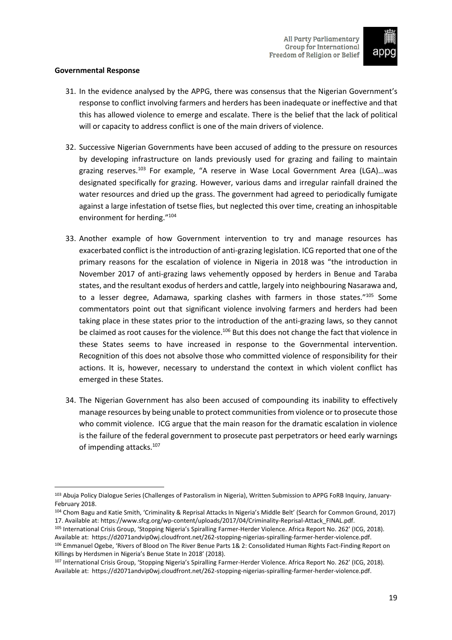

#### <span id="page-20-0"></span>**Governmental Response**

- 31. In the evidence analysed by the APPG, there was consensus that the Nigerian Government's response to conflict involving farmers and herders has been inadequate or ineffective and that this has allowed violence to emerge and escalate. There is the belief that the lack of political will or capacity to address conflict is one of the main drivers of violence.
- 32. Successive Nigerian Governments have been accused of adding to the pressure on resources by developing infrastructure on lands previously used for grazing and failing to maintain grazing reserves.<sup>103</sup> For example, "A reserve in Wase Local Government Area (LGA)...was designated specifically for grazing. However, various dams and irregular rainfall drained the water resources and dried up the grass. The government had agreed to periodically fumigate against a large infestation of tsetse flies, but neglected this over time, creating an inhospitable environment for herding."<sup>104</sup>
- 33. Another example of how Government intervention to try and manage resources has exacerbated conflict isthe introduction of anti-grazing legislation. ICG reported that one of the primary reasons for the escalation of violence in Nigeria in 2018 was "the introduction in November 2017 of anti-grazing laws vehemently opposed by herders in Benue and Taraba states, and the resultant exodus of herders and cattle, largely into neighbouring Nasarawa and, to a lesser degree, Adamawa, sparking clashes with farmers in those states."<sup>105</sup> Some commentators point out that significant violence involving farmers and herders had been taking place in these states prior to the introduction of the anti-grazing laws, so they cannot be claimed as root causes for the violence.<sup>106</sup> But this does not change the fact that violence in these States seems to have increased in response to the Governmental intervention. Recognition of this does not absolve those who committed violence of responsibility for their actions. It is, however, necessary to understand the context in which violent conflict has emerged in these States.
- 34. The Nigerian Government has also been accused of compounding its inability to effectively manage resources by being unable to protect communitiesfrom violence orto prosecute those who commit violence. ICG argue that the main reason for the dramatic escalation in violence is the failure of the federal government to prosecute past perpetrators or heed early warnings of impending attacks.<sup>107</sup>

<sup>103</sup> Abuja Policy Dialogue Series (Challenges of Pastoralism in Nigeria), Written Submission to APPG FoRB Inquiry, January-February 2018.

<sup>104</sup> Chom Bagu and Katie Smith, 'Criminality & Reprisal Attacks In Nigeria's Middle Belt' (Search for Common Ground, 2017) 17. Available at: https://www.sfcg.org/wp-content/uploads/2017/04/Criminality-Reprisal-Attack\_FINAL.pdf.

<sup>105</sup> International Crisis Group, 'Stopping Nigeria's Spiralling Farmer-Herder Violence. Africa Report No. 262' (ICG, 2018). Available at: https://d2071andvip0wj.cloudfront.net/262-stopping-nigerias-spiralling-farmer-herder-violence.pdf. 106 Emmanuel Ogebe, 'Rivers of Blood on The River Benue Parts 1& 2: Consolidated Human Rights Fact-Finding Report on Killings by Herdsmen in Nigeria's Benue State In 2018' (2018).

<sup>107</sup> International Crisis Group, 'Stopping Nigeria's Spiralling Farmer-Herder Violence. Africa Report No. 262' (ICG, 2018). Available at: https://d2071andvip0wj.cloudfront.net/262-stopping-nigerias-spiralling-farmer-herder-violence.pdf.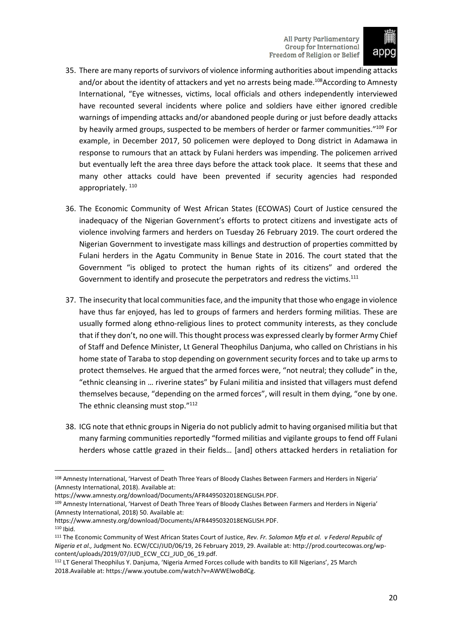

- 35. There are many reports of survivors of violence informing authorities about impending attacks and/or about the identity of attackers and yet no arrests being made.<sup>108</sup>According to Amnesty International, "Eye witnesses, victims, local officials and others independently interviewed have recounted several incidents where police and soldiers have either ignored credible warnings of impending attacks and/or abandoned people during or just before deadly attacks by heavily armed groups, suspected to be members of herder or farmer communities."<sup>109</sup> For example, in December 2017, 50 policemen were deployed to Dong district in Adamawa in response to rumours that an attack by Fulani herders was impending. The policemen arrived but eventually left the area three days before the attack took place. It seems that these and many other attacks could have been prevented if security agencies had responded appropriately.<sup>110</sup>
- 36. The Economic Community of West African States (ECOWAS) Court of Justice censured the inadequacy of the Nigerian Government's efforts to protect citizens and investigate acts of violence involving farmers and herders on Tuesday 26 February 2019. The court ordered the Nigerian Government to investigate mass killings and destruction of properties committed by Fulani herders in the Agatu Community in Benue State in 2016. The court stated that the Government "is obliged to protect the human rights of its citizens" and ordered the Government to identify and prosecute the perpetrators and redress the victims.<sup>111</sup>
- 37. The insecurity that local communities face, and the impunity that those who engage in violence have thus far enjoyed, has led to groups of farmers and herders forming militias. These are usually formed along ethno-religious lines to protect community interests, as they conclude that if they don't, no one will. Thisthought process was expressed clearly by former Army Chief of Staff and Defence Minister, Lt General Theophilus Danjuma, who called on Christians in his home state of Taraba to stop depending on government security forces and to take up arms to protect themselves. He argued that the armed forces were, "not neutral; they collude" in the, "ethnic cleansing in … riverine states" by Fulani militia and insisted that villagers must defend themselves because, "depending on the armed forces", will result in them dying, "one by one. The ethnic cleansing must stop."<sup>112</sup>
- 38. ICG note that ethnic groups in Nigeria do not publicly admit to having organised militia but that many farming communities reportedly "formed militias and vigilante groups to fend off Fulani herders whose cattle grazed in their fields… [and] others attacked herders in retaliation for

<sup>108</sup> Amnesty International, 'Harvest of Death Three Years of Bloody Clashes Between Farmers and Herders in Nigeria' (Amnesty International, 2018). Available at:

https://www.amnesty.org/download/Documents/AFR4495032018ENGLISH.PDF.

<sup>109</sup> Amnesty International, 'Harvest of Death Three Years of Bloody Clashes Between Farmers and Herders in Nigeria' (Amnesty International, 2018) 50. Available at:

https://www.amnesty.org/download/Documents/AFR4495032018ENGLISH.PDF. <sup>110</sup> Ibid.

<sup>111</sup> The Economic Community of West African States Court of Justice, *Rev. Fr. Solomon Mfa et al. v Federal Republic of*

*Nigeria et al.,* Judgment No. ECW/CCJ/JUD/06/19, 26 February 2019, 29. Available at: http://prod.courtecowas.org/wpcontent/uploads/2019/07/JUD\_ECW\_CCJ\_JUD\_06\_19.pdf.

<sup>112</sup> LT General Theophilus Y. Danjuma, 'Nigeria Armed Forces collude with bandits to Kill Nigerians', 25 March 2018.Available at: https://www.youtube.com/watch?v=AWWElwoBdCg.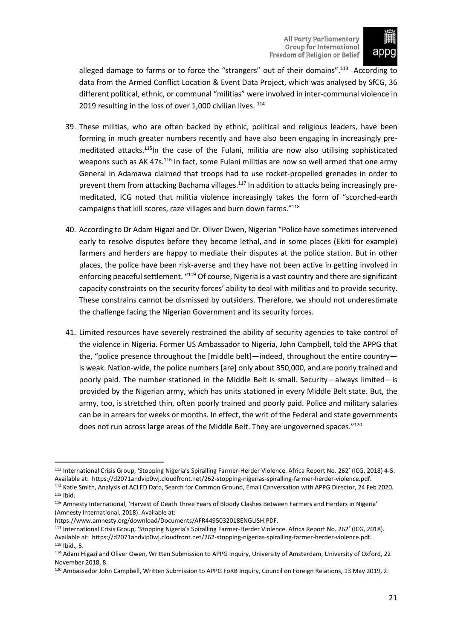

alleged damage to farms or to force the "strangers" out of their domains".<sup>113</sup> According to data from the Armed Conflict Location & Event Data Project, which was analysed by SfCG, 36 different political, ethnic, or communal "militias" were involved in inter-communal violence in 2019 resulting in the loss of over 1,000 civilian lives.  $^{114}$ 

- 39. These militias, who are often backed by ethnic, political and religious leaders, have been forming in much greater numbers recently and have also been engaging in increasingly premeditated attacks.<sup>115</sup>In the case of the Fulani, militia are now also utilising sophisticated weapons such as AK 47s.<sup>116</sup> In fact, some Fulani militias are now so well armed that one army General in Adamawa claimed that troops had to use rocket-propelled grenades in order to prevent them from attacking Bachama villages.<sup>117</sup> In addition to attacks being increasingly premeditated, ICG noted that militia violence increasingly takes the form of "scorched-earth campaigns that kill scores, raze villages and burn down farms."<sup>118</sup>
- 40. According to Dr Adam Higazi and Dr. Oliver Owen, Nigerian "Police have sometimes intervened early to resolve disputes before they become lethal, and in some places (Ekiti for example) farmers and herders are happy to mediate their disputes at the police station. But in other places, the police have been risk-averse and they have not been active in getting involved in enforcing peaceful settlement. "<sup>119</sup> Of course, Nigeria is a vast country and there are significant capacity constraints on the security forces' ability to deal with militias and to provide security. These constrains cannot be dismissed by outsiders. Therefore, we should not underestimate the challenge facing the Nigerian Government and its security forces.
- 41. Limited resources have severely restrained the ability of security agencies to take control of the violence in Nigeria. Former US Ambassador to Nigeria, John Campbell, told the APPG that the, "police presence throughout the [middle belt]—indeed, throughout the entire country is weak. Nation-wide, the police numbers [are] only about 350,000, and are poorly trained and poorly paid. The number stationed in the Middle Belt is small. Security—always limited—is provided by the Nigerian army, which has units stationed in every Middle Belt state. But, the army, too, is stretched thin, often poorly trained and poorly paid. Police and military salaries can be in arrears for weeks or months. In effect, the writ of the Federal and state governments does not run across large areas of the Middle Belt. They are ungoverned spaces."<sup>120</sup>

<sup>113</sup> International Crisis Group, 'Stopping Nigeria's Spiralling Farmer-Herder Violence. Africa Report No. 262' (ICG, 2018) 4-5. Available at: https://d2071andvip0wj.cloudfront.net/262-stopping-nigerias-spiralling-farmer-herder-violence.pdf. <sup>114</sup> Katie Smith, Analysis of ACLED Data, Search for Common Ground, Email Conversation with APPG Director, 24 Feb 2020. <sup>115</sup> Ibid.

<sup>116</sup> Amnesty International, 'Harvest of Death Three Years of Bloody Clashes Between Farmers and Herders in Nigeria' (Amnesty International, 2018). Available at:

https://www.amnesty.org/download/Documents/AFR4495032018ENGLISH.PDF.

<sup>117</sup> International Crisis Group, 'Stopping Nigeria's Spiralling Farmer-Herder Violence. Africa Report No. 262' (ICG, 2018). Available at: https://d2071andvip0wj.cloudfront.net/262-stopping-nigerias-spiralling-farmer-herder-violence.pdf. <sup>118</sup> Ibid., 5.

<sup>119</sup> Adam Higazi and Oliver Owen, Written Submission to APPG Inquiry, University of Amsterdam, University of Oxford, 22 November 2018, 8.

<sup>120</sup> Ambassador John Campbell, Written Submission to APPG FoRB Inquiry, Council on Foreign Relations, 13 May 2019, 2.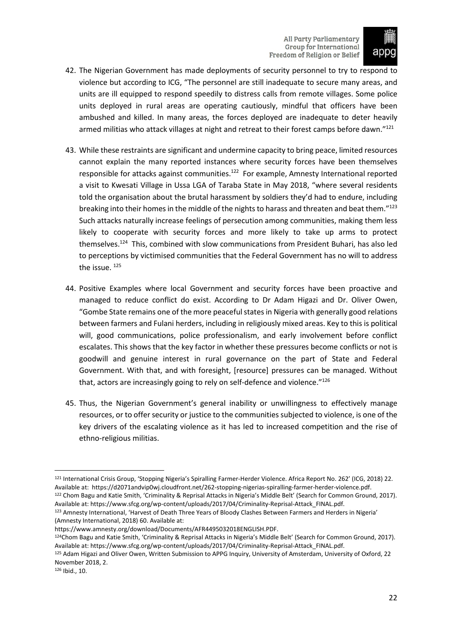

- 42. The Nigerian Government has made deployments of security personnel to try to respond to violence but according to ICG, "The personnel are still inadequate to secure many areas, and units are ill equipped to respond speedily to distress calls from remote villages. Some police units deployed in rural areas are operating cautiously, mindful that officers have been ambushed and killed. In many areas, the forces deployed are inadequate to deter heavily armed militias who attack villages at night and retreat to their forest camps before dawn."<sup>121</sup>
- 43. While these restraints are significant and undermine capacity to bring peace, limited resources cannot explain the many reported instances where security forces have been themselves responsible for attacks against communities.<sup>122</sup> For example, Amnesty International reported a visit to Kwesati Village in Ussa LGA of Taraba State in May 2018, "where several residents told the organisation about the brutal harassment by soldiers they'd had to endure, including breaking into their homes in the middle of the nights to harass and threaten and beat them."<sup>123</sup> Such attacks naturally increase feelings of persecution among communities, making them less likely to cooperate with security forces and more likely to take up arms to protect themselves. <sup>124</sup> This, combined with slow communications from President Buhari, has also led to perceptions by victimised communities that the Federal Government has no will to address the issue.<sup>125</sup>
- 44. Positive Examples where local Government and security forces have been proactive and managed to reduce conflict do exist. According to Dr Adam Higazi and Dr. Oliver Owen, "Gombe State remains one of the more peaceful states in Nigeria with generally good relations between farmers and Fulani herders, including in religiously mixed areas. Key to this is political will, good communications, police professionalism, and early involvement before conflict escalates. This shows that the key factor in whether these pressures become conflicts or not is goodwill and genuine interest in rural governance on the part of State and Federal Government. With that, and with foresight, [resource] pressures can be managed. Without that, actors are increasingly going to rely on self-defence and violence."<sup>126</sup>
- 45. Thus, the Nigerian Government's general inability or unwillingness to effectively manage resources, or to offer security or justice to the communities subjected to violence, is one of the key drivers of the escalating violence as it has led to increased competition and the rise of ethno-religious militias.

<sup>126</sup> Ibid., 10.

<sup>121</sup> International Crisis Group, 'Stopping Nigeria's Spiralling Farmer-Herder Violence. Africa Report No. 262' (ICG, 2018) 22. Available at: https://d2071andvip0wj.cloudfront.net/262-stopping-nigerias-spiralling-farmer-herder-violence.pdf. <sup>122</sup> Chom Bagu and Katie Smith, 'Criminality & Reprisal Attacks in Nigeria's Middle Belt' (Search for Common Ground, 2017). Available at: https://www.sfcg.org/wp-content/uploads/2017/04/Criminality-Reprisal-Attack\_FINAL.pdf.

<sup>123</sup> Amnesty International, 'Harvest of Death Three Years of Bloody Clashes Between Farmers and Herders in Nigeria' (Amnesty International, 2018) 60. Available at:

https://www.amnesty.org/download/Documents/AFR4495032018ENGLISH.PDF.

<sup>124</sup>Chom Bagu and Katie Smith, 'Criminality & Reprisal Attacks in Nigeria's Middle Belt' (Search for Common Ground, 2017). Available at: https://www.sfcg.org/wp-content/uploads/2017/04/Criminality-Reprisal-Attack\_FINAL.pdf.

<sup>125</sup> Adam Higazi and Oliver Owen, Written Submission to APPG Inquiry, University of Amsterdam, University of Oxford, 22 November 2018, 2.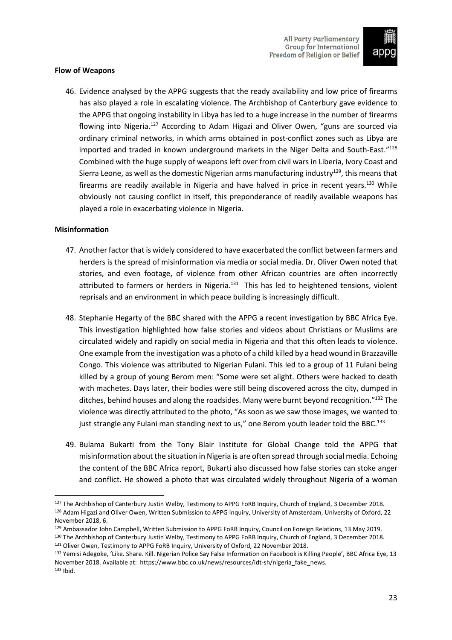

#### <span id="page-24-0"></span>**Flow of Weapons**

46. Evidence analysed by the APPG suggests that the ready availability and low price of firearms has also played a role in escalating violence. The Archbishop of Canterbury gave evidence to the APPG that ongoing instability in Libya has led to a huge increase in the number of firearms flowing into Nigeria.<sup>127</sup> According to Adam Higazi and Oliver Owen, "guns are sourced via ordinary criminal networks, in which arms obtained in post-conflict zones such as Libya are imported and traded in known underground markets in the Niger Delta and South-East."<sup>128</sup> Combined with the huge supply of weapons left over from civil wars in Liberia, Ivory Coast and Sierra Leone, as well as the domestic Nigerian arms manufacturing industry<sup>129</sup>, this means that firearms are readily available in Nigeria and have halved in price in recent years.<sup>130</sup> While obviously not causing conflict in itself, this preponderance of readily available weapons has played a role in exacerbating violence in Nigeria.

#### <span id="page-24-1"></span>**Misinformation**

- 47. Another factor that is widely considered to have exacerbated the conflict between farmers and herders is the spread of misinformation via media or social media. Dr. Oliver Owen noted that stories, and even footage, of violence from other African countries are often incorrectly attributed to farmers or herders in Nigeria.<sup>131</sup> This has led to heightened tensions, violent reprisals and an environment in which peace building is increasingly difficult.
- 48. Stephanie Hegarty of the BBC shared with the APPG a recent investigation by BBC Africa Eye. This investigation highlighted how false stories and videos about Christians or Muslims are circulated widely and rapidly on social media in Nigeria and that this often leads to violence. One example from the investigation was a photo of a child killed by a head wound in Brazzaville Congo. This violence was attributed to Nigerian Fulani. This led to a group of 11 Fulani being killed by a group of young Berom men: "Some were set alight. Others were hacked to death with machetes. Days later, their bodies were still being discovered across the city, dumped in ditches, behind houses and along the roadsides. Many were burnt beyond recognition."132 The violence was directly attributed to the photo, "As soon as we saw those images, we wanted to just strangle any Fulani man standing next to us," one Berom youth leader told the BBC.<sup>133</sup>
- 49. Bulama Bukarti from the Tony Blair Institute for Global Change told the APPG that misinformation about the situation in Nigeria is are often spread through social media. Echoing the content of the BBC Africa report, Bukarti also discussed how false stories can stoke anger and conflict. He showed a photo that was circulated widely throughout Nigeria of a woman

<sup>127</sup> The Archbishop of Canterbury Justin Welby, Testimony to APPG FoRB Inquiry, Church of England, 3 December 2018. 128 Adam Higazi and Oliver Owen, Written Submission to APPG Inquiry, University of Amsterdam, University of Oxford, 22 November 2018, 6.

<sup>129</sup> Ambassador John Campbell, Written Submission to APPG FoRB Inquiry, Council on Foreign Relations, 13 May 2019.

<sup>130</sup> The Archbishop of Canterbury Justin Welby, Testimony to APPG FoRB Inquiry, Church of England, 3 December 2018. 131 Oliver Owen, Testimony to APPG FoRB Inquiry, University of Oxford, 22 November 2018.

<sup>132</sup> Yemisi Adegoke, 'Like. Share. Kill. Nigerian Police Say False Information on Facebook is Killing People', BBC Africa Eye, 13 November 2018. Available at: https://www.bbc.co.uk/news/resources/idt-sh/nigeria\_fake\_news. <sup>133</sup> Ibid.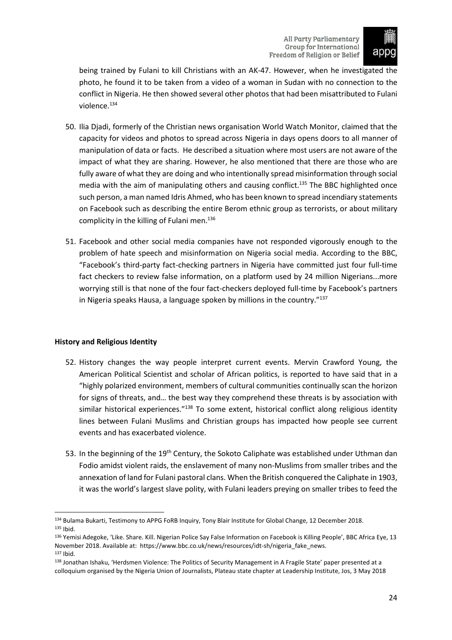

being trained by Fulani to kill Christians with an AK-47. However, when he investigated the photo, he found it to be taken from a video of a woman in Sudan with no connection to the conflict in Nigeria. He then showed several other photos that had been misattributed to Fulani violence.<sup>134</sup>

- 50. Ilia Djadi, formerly of the Christian news organisation World Watch Monitor, claimed that the capacity for videos and photos to spread across Nigeria in days opens doors to all manner of manipulation of data or facts. He described a situation where most users are not aware of the impact of what they are sharing. However, he also mentioned that there are those who are fully aware of what they are doing and who intentionally spread misinformation through social media with the aim of manipulating others and causing conflict.<sup>135</sup> The BBC highlighted once such person, a man named Idris Ahmed, who has been known to spread incendiary statements on Facebook such as describing the entire Berom ethnic group as terrorists, or about military complicity in the killing of Fulani men.<sup>136</sup>
- 51. Facebook and other social media companies have not responded vigorously enough to the problem of hate speech and misinformation on Nigeria social media. According to the BBC, "Facebook's third-party fact-checking partners in Nigeria have committed just four full-time fact checkers to review false information, on a platform used by 24 million Nigerians...more worrying still is that none of the four fact-checkers deployed full-time by Facebook's partners in Nigeria speaks Hausa, a language spoken by millions in the country."<sup>137</sup>

# <span id="page-25-0"></span>**History and Religious Identity**

- 52. History changes the way people interpret current events. Mervin Crawford Young, the American Political Scientist and scholar of African politics, is reported to have said that in a "highly polarized environment, members of cultural communities continually scan the horizon for signs of threats, and… the best way they comprehend these threats is by association with similar historical experiences."138 To some extent, historical conflict along religious identity lines between Fulani Muslims and Christian groups has impacted how people see current events and has exacerbated violence.
- 53. In the beginning of the 19<sup>th</sup> Century, the Sokoto Caliphate was established under Uthman dan Fodio amidst violent raids, the enslavement of many non-Muslims from smaller tribes and the annexation of land for Fulani pastoral clans. When the British conquered the Caliphate in 1903, it was the world's largest slave polity, with Fulani leaders preying on smaller tribes to feed the

<sup>134</sup> Bulama Bukarti, Testimony to APPG FoRB Inquiry, Tony Blair Institute for Global Change, 12 December 2018. <sup>135</sup> Ibid.

<sup>136</sup> Yemisi Adegoke, 'Like. Share. Kill. Nigerian Police Say False Information on Facebook is Killing People', BBC Africa Eye, 13 November 2018. Available at: https://www.bbc.co.uk/news/resources/idt-sh/nigeria\_fake\_news. <sup>137</sup> Ibid.

<sup>138</sup> Jonathan Ishaku, 'Herdsmen Violence: The Politics of Security Management in A Fragile State' paper presented at a colloquium organised by the Nigeria Union of Journalists, Plateau state chapter at Leadership Institute, Jos, 3 May 2018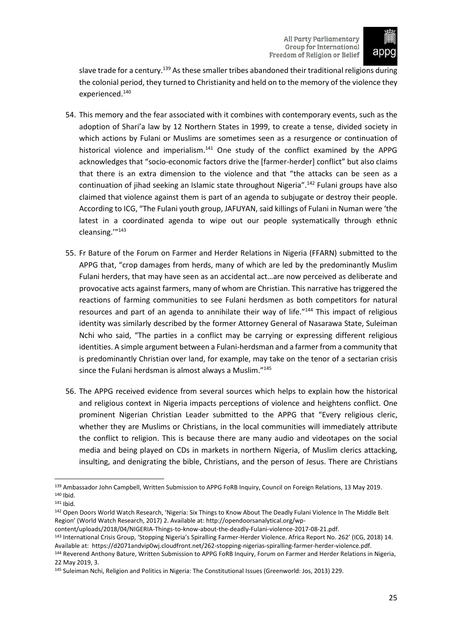

slave trade for a century.<sup>139</sup> As these smaller tribes abandoned their traditional religions during the colonial period, they turned to Christianity and held on to the memory of the violence they experienced.<sup>140</sup>

- 54. This memory and the fear associated with it combines with contemporary events, such as the adoption of Shari'a law by 12 Northern States in 1999, to create a tense, divided society in which actions by Fulani or Muslims are sometimes seen as a resurgence or continuation of historical violence and imperialism.<sup>141</sup> One study of the conflict examined by the APPG acknowledges that "socio-economic factors drive the [farmer-herder] conflict" but also claims that there is an extra dimension to the violence and that "the attacks can be seen as a continuation of jihad seeking an Islamic state throughout Nigeria".<sup>142</sup> Fulani groups have also claimed that violence against them is part of an agenda to subjugate or destroy their people. According to ICG, "The Fulani youth group, JAFUYAN, said killings of Fulani in Numan were 'the latest in a coordinated agenda to wipe out our people systematically through ethnic cleansing.'"<sup>143</sup>
- 55. Fr Bature of the Forum on Farmer and Herder Relations in Nigeria (FFARN) submitted to the APPG that, "crop damages from herds, many of which are led by the predominantly Muslim Fulani herders, that may have seen as an accidental act…are now perceived as deliberate and provocative acts against farmers, many of whom are Christian. This narrative hastriggered the reactions of farming communities to see Fulani herdsmen as both competitors for natural resources and part of an agenda to annihilate their way of life."<sup>144</sup> This impact of religious identity was similarly described by the former Attorney General of Nasarawa State, Suleiman Nchi who said, "The parties in a conflict may be carrying or expressing different religious identities. A simple argument between a Fulani-herdsman and a farmer from a community that is predominantly Christian over land, for example, may take on the tenor of a sectarian crisis since the Fulani herdsman is almost always a Muslim."<sup>145</sup>
- 56. The APPG received evidence from several sources which helps to explain how the historical and religious context in Nigeria impacts perceptions of violence and heightens conflict. One prominent Nigerian Christian Leader submitted to the APPG that "Every religious cleric, whether they are Muslims or Christians, in the local communities will immediately attribute the conflict to religion. This is because there are many audio and videotapes on the social media and being played on CDs in markets in northern Nigeria, of Muslim clerics attacking, insulting, and denigrating the bible, Christians, and the person of Jesus. There are Christians

<sup>139</sup> Ambassador John Campbell, Written Submission to APPG FoRB Inquiry, Council on Foreign Relations, 13 May 2019. <sup>140</sup> Ibid.

<sup>141</sup> Ibid.

<sup>&</sup>lt;sup>142</sup> Open Doors World Watch Research, 'Nigeria: Six Things to Know About The Deadly Fulani Violence In The Middle Belt Region' (World Watch Research, 2017) 2. Available at: http://opendoorsanalytical.org/wp-

content/uploads/2018/04/NIGERIA-Things-to-know-about-the-deadly-Fulani-violence-2017-08-21.pdf.

<sup>143</sup> International Crisis Group, 'Stopping Nigeria's Spiralling Farmer-Herder Violence. Africa Report No. 262' (ICG, 2018) 14. Available at: https://d2071andvip0wj.cloudfront.net/262-stopping-nigerias-spiralling-farmer-herder-violence.pdf.

<sup>144</sup> Reverend Anthony Bature, Written Submission to APPG FoRB Inquiry, Forum on Farmer and Herder Relations in Nigeria, 22 May 2019, 3.

<sup>145</sup> Suleiman Nchi, Religion and Politics in Nigeria: The Constitutional Issues (Greenworld: Jos, 2013) 229.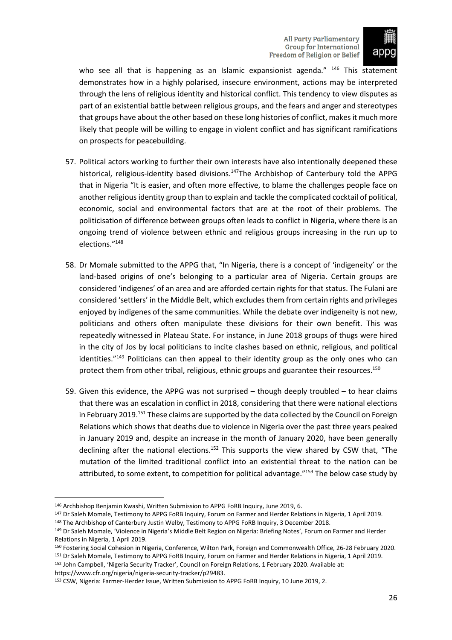

who see all that is happening as an Islamic expansionist agenda." <sup>146</sup> This statement demonstrates how in a highly polarised, insecure environment, actions may be interpreted through the lens of religious identity and historical conflict. This tendency to view disputes as part of an existential battle between religious groups, and the fears and anger and stereotypes that groups have about the other based on these long histories of conflict, makesit much more likely that people will be willing to engage in violent conflict and has significant ramifications on prospects for peacebuilding.

- 57. Political actors working to further their own interests have also intentionally deepened these historical, religious-identity based divisions.<sup>147</sup>The Archbishop of Canterbury told the APPG that in Nigeria "It is easier, and often more effective, to blame the challenges people face on another religious identity group than to explain and tackle the complicated cocktail of political, economic, social and environmental factors that are at the root of their problems. The politicisation of difference between groups often leads to conflict in Nigeria, where there is an ongoing trend of violence between ethnic and religious groups increasing in the run up to elections."<sup>148</sup>
- 58. Dr Momale submitted to the APPG that, "In Nigeria, there is a concept of 'indigeneity' or the land-based origins of one's belonging to a particular area of Nigeria. Certain groups are considered 'indigenes' of an area and are afforded certain rights for that status. The Fulani are considered 'settlers' in the Middle Belt, which excludes them from certain rights and privileges enjoyed by indigenes of the same communities. While the debate over indigeneity is not new, politicians and others often manipulate these divisions for their own benefit. This was repeatedly witnessed in Plateau State. For instance, in June 2018 groups of thugs were hired in the city of Jos by local politicians to incite clashes based on ethnic, religious, and political identities."<sup>149</sup> Politicians can then appeal to their identity group as the only ones who can protect them from other tribal, religious, ethnic groups and guarantee their resources.<sup>150</sup>
- 59. Given this evidence, the APPG was not surprised though deeply troubled to hear claims that there was an escalation in conflict in 2018, considering that there were national elections in February 2019.<sup>151</sup> These claims are supported by the data collected by the Council on Foreign Relations which shows that deaths due to violence in Nigeria over the past three years peaked in January 2019 and, despite an increase in the month of January 2020, have been generally declining after the national elections.<sup>152</sup> This supports the view shared by CSW that, "The mutation of the limited traditional conflict into an existential threat to the nation can be attributed, to some extent, to competition for political advantage."<sup>153</sup> The below case study by

<sup>152</sup> John Campbell, 'Nigeria Security Tracker', Council on Foreign Relations, 1 February 2020. Available at: https://www.cfr.org/nigeria/nigeria-security-tracker/p29483.

<sup>146</sup> Archbishop Benjamin Kwashi, Written Submission to APPG FoRB Inquiry, June 2019, 6.

<sup>&</sup>lt;sup>147</sup> Dr Saleh Momale, Testimony to APPG FoRB Inquiry, Forum on Farmer and Herder Relations in Nigeria, 1 April 2019. <sup>148</sup> The Archbishop of Canterbury Justin Welby, Testimony to APPG FoRB Inquiry, 3 December 2018.

<sup>&</sup>lt;sup>149</sup> Dr Saleh Momale, 'Violence in Nigeria's Middle Belt Region on Nigeria: Briefing Notes', Forum on Farmer and Herder Relations in Nigeria, 1 April 2019.

<sup>150</sup> Fostering Social Cohesion in Nigeria, Conference, Wilton Park, Foreign and Commonwealth Office, 26-28 February 2020. <sup>151</sup> Dr Saleh Momale, Testimony to APPG FoRB Inquiry, Forum on Farmer and Herder Relations in Nigeria, 1 April 2019.

<sup>153</sup> CSW, Nigeria: Farmer-Herder Issue, Written Submission to APPG FoRB Inquiry, 10 June 2019, 2.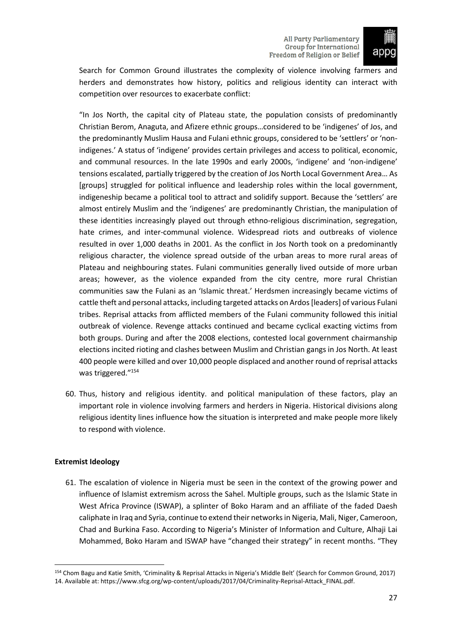

Search for Common Ground illustrates the complexity of violence involving farmers and herders and demonstrates how history, politics and religious identity can interact with competition over resources to exacerbate conflict:

"In Jos North, the capital city of Plateau state, the population consists of predominantly Christian Berom, Anaguta, and Afizere ethnic groups…considered to be 'indigenes' of Jos, and the predominantly Muslim Hausa and Fulani ethnic groups, considered to be 'settlers' or 'nonindigenes.' A status of 'indigene' provides certain privileges and access to political, economic, and communal resources. In the late 1990s and early 2000s, 'indigene' and 'non-indigene' tensions escalated, partially triggered by the creation of Jos North Local Government Area… As [groups] struggled for political influence and leadership roles within the local government, indigeneship became a political tool to attract and solidify support. Because the 'settlers' are almost entirely Muslim and the 'indigenes' are predominantly Christian, the manipulation of these identities increasingly played out through ethno-religious discrimination, segregation, hate crimes, and inter-communal violence. Widespread riots and outbreaks of violence resulted in over 1,000 deaths in 2001. As the conflict in Jos North took on a predominantly religious character, the violence spread outside of the urban areas to more rural areas of Plateau and neighbouring states. Fulani communities generally lived outside of more urban areas; however, as the violence expanded from the city centre, more rural Christian communities saw the Fulani as an 'Islamic threat.' Herdsmen increasingly became victims of cattle theft and personal attacks, including targeted attacks on Ardos[leaders] of various Fulani tribes. Reprisal attacks from afflicted members of the Fulani community followed this initial outbreak of violence. Revenge attacks continued and became cyclical exacting victims from both groups. During and after the 2008 elections, contested local government chairmanship elections incited rioting and clashes between Muslim and Christian gangs in Jos North. At least 400 people were killed and over 10,000 people displaced and another round of reprisal attacks was triggered."<sup>154</sup>

60. Thus, history and religious identity. and political manipulation of these factors, play an important role in violence involving farmers and herders in Nigeria. Historical divisions along religious identity lines influence how the situation is interpreted and make people more likely to respond with violence.

# <span id="page-28-0"></span>**Extremist Ideology**

61. The escalation of violence in Nigeria must be seen in the context of the growing power and influence of Islamist extremism across the Sahel. Multiple groups, such as the Islamic State in West Africa Province (ISWAP), a splinter of Boko Haram and an affiliate of the faded Daesh caliphate in Iraq and Syria, continue to extend their networksin Nigeria, Mali, Niger, Cameroon, Chad and Burkina Faso. According to Nigeria's Minister of Information and Culture, Alhaji Lai Mohammed, Boko Haram and ISWAP have "changed their strategy" in recent months. "They

<sup>154</sup> Chom Bagu and Katie Smith, 'Criminality & Reprisal Attacks in Nigeria's Middle Belt' (Search for Common Ground, 2017) 14. Available at: https://www.sfcg.org/wp-content/uploads/2017/04/Criminality-Reprisal-Attack\_FINAL.pdf.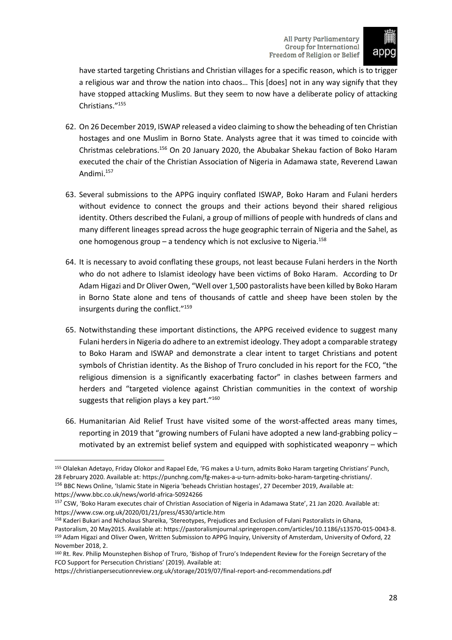

have started targeting Christians and Christian villages for a specific reason, which is to trigger a religious war and throw the nation into chaos… This [does] not in any way signify that they have stopped attacking Muslims. But they seem to now have a deliberate policy of attacking Christians."<sup>155</sup>

- 62. On 26 December 2019, ISWAP released a video claiming to show the beheading of ten Christian hostages and one Muslim in Borno State. Analysts agree that it was timed to coincide with Christmas celebrations.<sup>156</sup> On 20 January 2020, the Abubakar Shekau faction of Boko Haram executed the chair of the Christian Association of Nigeria in Adamawa state, Reverend Lawan Andimi.<sup>157</sup>
- 63. Several submissions to the APPG inquiry conflated ISWAP, Boko Haram and Fulani herders without evidence to connect the groups and their actions beyond their shared religious identity. Others described the Fulani, a group of millions of people with hundreds of clans and many different lineages spread across the huge geographic terrain of Nigeria and the Sahel, as one homogenous group – a tendency which is not exclusive to Nigeria.<sup>158</sup>
- 64. It is necessary to avoid conflating these groups, not least because Fulani herders in the North who do not adhere to Islamist ideology have been victims of Boko Haram. According to Dr Adam Higazi and Dr Oliver Owen, "Well over 1,500 pastoralists have been killed by Boko Haram in Borno State alone and tens of thousands of cattle and sheep have been stolen by the insurgents during the conflict."<sup>159</sup>
- 65. Notwithstanding these important distinctions, the APPG received evidence to suggest many Fulani herders in Nigeria do adhere to an extremist ideology. They adopt a comparable strategy to Boko Haram and ISWAP and demonstrate a clear intent to target Christians and potent symbols of Christian identity. As the Bishop of Truro concluded in his report for the FCO, "the religious dimension is a significantly exacerbating factor" in clashes between farmers and herders and "targeted violence against Christian communities in the context of worship suggests that religion plays a key part."<sup>160</sup>
- 66. Humanitarian Aid Relief Trust have visited some of the worst-affected areas many times, reporting in 2019 that "growing numbers of Fulani have adopted a new land-grabbing policy – motivated by an extremist belief system and equipped with sophisticated weaponry – which

<sup>155</sup> Olalekan Adetayo, Friday Olokor and Rapael Ede, 'FG makes a U-turn, admits Boko Haram targeting Christians' Punch, 28 February 2020. Available at: https://punchng.com/fg-makes-a-u-turn-admits-boko-haram-targeting-christians/.

<sup>156</sup> BBC News Online, 'Islamic State in Nigeria 'beheads Christian hostages', 27 December 2019, Available at: https://www.bbc.co.uk/news/world-africa-50924266

<sup>&</sup>lt;sup>157</sup> CSW, 'Boko Haram executes chair of Christian Association of Nigeria in Adamawa State', 21 Jan 2020. Available at: https://www.csw.org.uk/2020/01/21/press/4530/article.htm

<sup>158</sup> Kaderi Bukari and Nicholaus Shareika, 'Stereotypes, Prejudices and Exclusion of Fulani Pastoralists in Ghana, Pastoralism, 20 May2015. Available at: https://pastoralismjournal.springeropen.com/articles/10.1186/s13570-015-0043-8. <sup>159</sup> Adam Higazi and Oliver Owen, Written Submission to APPG Inquiry, University of Amsterdam, University of Oxford, 22 November 2018, 2.

<sup>160</sup> Rt. Rev. Philip Mounstephen Bishop of Truro, 'Bishop of Truro's Independent Review for the Foreign Secretary of the FCO Support for Persecution Christians' (2019). Available at:

https://christianpersecutionreview.org.uk/storage/2019/07/final-report-and-recommendations.pdf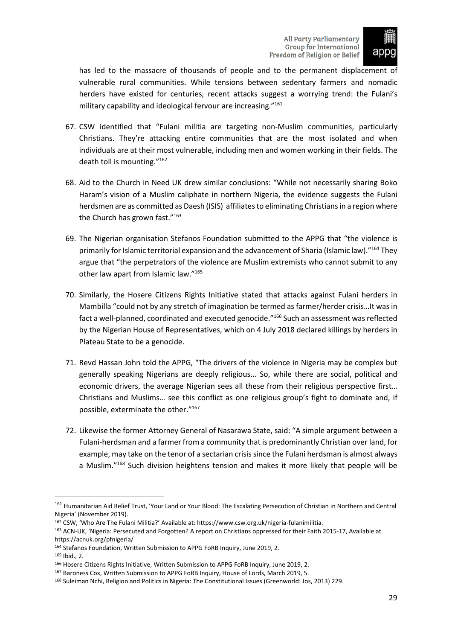

has led to the massacre of thousands of people and to the permanent displacement of vulnerable rural communities. While tensions between sedentary farmers and nomadic herders have existed for centuries, recent attacks suggest a worrying trend: the Fulani's military capability and ideological fervour are increasing."<sup>161</sup>

- 67. CSW identified that "Fulani militia are targeting non-Muslim communities, particularly Christians. They're attacking entire communities that are the most isolated and when individuals are at their most vulnerable, including men and women working in their fields. The death toll is mounting."<sup>162</sup>
- 68. Aid to the Church in Need UK drew similar conclusions: "While not necessarily sharing Boko Haram's vision of a Muslim caliphate in northern Nigeria, the evidence suggests the Fulani herdsmen are as committed as Daesh (ISIS) affiliates to eliminating Christians in a region where the Church has grown fast."<sup>163</sup>
- 69. The Nigerian organisation Stefanos Foundation submitted to the APPG that "the violence is primarily for Islamic territorial expansion and the advancement of Sharia (Islamic law)."<sup>164</sup> They argue that "the perpetrators of the violence are Muslim extremists who cannot submit to any other law apart from Islamic law."<sup>165</sup>
- 70. Similarly, the Hosere Citizens Rights Initiative stated that attacks against Fulani herders in Mambilla "could not by any stretch of imagination be termed as farmer/herder crisis…It was in fact a well-planned, coordinated and executed genocide."<sup>166</sup> Such an assessment was reflected by the Nigerian House of Representatives, which on 4 July 2018 declared killings by herders in Plateau State to be a genocide.
- 71. Revd Hassan John told the APPG, "The drivers of the violence in Nigeria may be complex but generally speaking Nigerians are deeply religious... So, while there are social, political and economic drivers, the average Nigerian sees all these from their religious perspective first… Christians and Muslims… see this conflict as one religious group's fight to dominate and, if possible, exterminate the other."<sup>167</sup>
- 72. Likewise the former Attorney General of Nasarawa State, said: "A simple argument between a Fulani-herdsman and a farmer from a community that is predominantly Christian over land, for example, may take on the tenor of a sectarian crisis since the Fulani herdsman is almost always a Muslim."<sup>168</sup> Such division heightens tension and makes it more likely that people will be

<sup>161</sup> Humanitarian Aid Relief Trust, 'Your Land or Your Blood: The Escalating Persecution of Christian in Northern and Central Nigeria' (November 2019).

<sup>162</sup> CSW, 'Who Are The Fulani Militia?' Available at: https://www.csw.org.uk/nigeria-fulanimilitia.

<sup>163</sup> ACN-UK, 'Nigeria: Persecuted and Forgotten? A report on Christians oppressed for their Faith 2015-17, Available at https://acnuk.org/pfnigeria/

<sup>164</sup> Stefanos Foundation, Written Submission to APPG FoRB Inquiry, June 2019, 2.

<sup>165</sup> Ibid., 2.

<sup>166</sup> Hosere Citizens Rights Initiative, Written Submission to APPG FoRB Inquiry, June 2019, 2.

<sup>167</sup> Baroness Cox, Written Submission to APPG FoRB Inquiry, House of Lords, March 2019, 5.

<sup>168</sup> Suleiman Nchi, Religion and Politics in Nigeria: The Constitutional Issues (Greenworld: Jos, 2013) 229.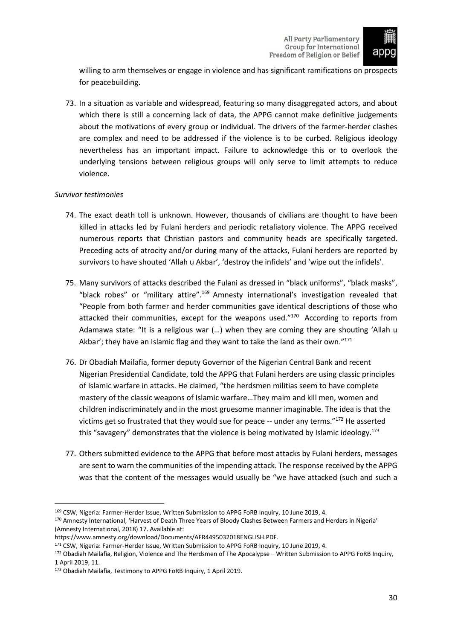

willing to arm themselves or engage in violence and has significant ramifications on prospects for peacebuilding.

73. In a situation as variable and widespread, featuring so many disaggregated actors, and about which there is still a concerning lack of data, the APPG cannot make definitive judgements about the motivations of every group or individual. The drivers of the farmer-herder clashes are complex and need to be addressed if the violence is to be curbed. Religious ideology nevertheless has an important impact. Failure to acknowledge this or to overlook the underlying tensions between religious groups will only serve to limit attempts to reduce violence.

# <span id="page-31-0"></span>*Survivor testimonies*

- 74. The exact death toll is unknown. However, thousands of civilians are thought to have been killed in attacks led by Fulani herders and periodic retaliatory violence. The APPG received numerous reports that Christian pastors and community heads are specifically targeted. Preceding acts of atrocity and/or during many of the attacks, Fulani herders are reported by survivors to have shouted 'Allah u Akbar', 'destroy the infidels' and 'wipe out the infidels'.
- 75. Many survivors of attacks described the Fulani as dressed in "black uniforms", "black masks", "black robes" or "military attire".<sup>169</sup> Amnesty international's investigation revealed that "People from both farmer and herder communities gave identical descriptions of those who attacked their communities, except for the weapons used."<sup>170</sup> According to reports from Adamawa state: "It is a religious war (…) when they are coming they are shouting 'Allah u Akbar'; they have an Islamic flag and they want to take the land as their own."171
- 76. Dr Obadiah Mailafia, former deputy Governor of the Nigerian Central Bank and recent Nigerian Presidential Candidate, told the APPG that Fulani herders are using classic principles of Islamic warfare in attacks. He claimed, "the herdsmen militias seem to have complete mastery of the classic weapons of Islamic warfare…They maim and kill men, women and children indiscriminately and in the most gruesome manner imaginable. The idea is that the victims get so frustrated that they would sue for peace  $-$  under any terms." $172$  He asserted this "savagery" demonstrates that the violence is being motivated by Islamic ideology.<sup>173</sup>
- 77. Others submitted evidence to the APPG that before most attacks by Fulani herders, messages are sent to warn the communities of the impending attack. The response received by the APPG was that the content of the messages would usually be "we have attacked (such and such a

<sup>169</sup> CSW, Nigeria: Farmer-Herder Issue, Written Submission to APPG FoRB Inquiry, 10 June 2019, 4.

<sup>170</sup> Amnesty International, 'Harvest of Death Three Years of Bloody Clashes Between Farmers and Herders in Nigeria' (Amnesty International, 2018) 17. Available at:

https://www.amnesty.org/download/Documents/AFR4495032018ENGLISH.PDF.

<sup>171</sup> CSW, Nigeria: Farmer-Herder Issue, Written Submission to APPG FoRB Inquiry, 10 June 2019, 4.

<sup>172</sup> Obadiah Mailafia, Religion, Violence and The Herdsmen of The Apocalypse – Written Submission to APPG FoRB Inquiry, 1 April 2019, 11.

<sup>173</sup> Obadiah Mailafia, Testimony to APPG FoRB Inquiry, 1 April 2019.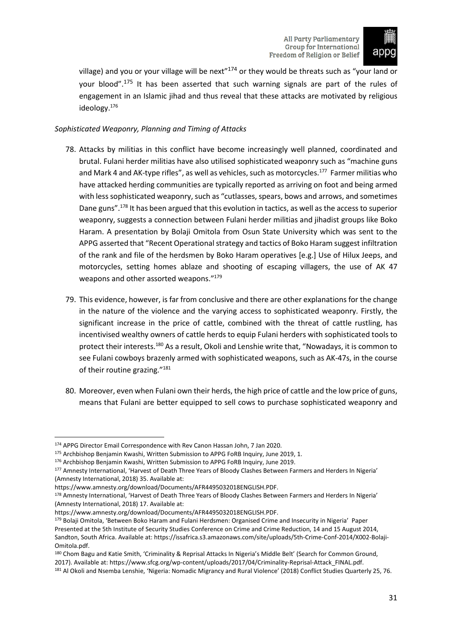

village) and you or your village will be next<sup> $n174$ </sup> or they would be threats such as "your land or your blood".<sup>175</sup> It has been asserted that such warning signals are part of the rules of engagement in an Islamic jihad and thus reveal that these attacks are motivated by religious ideology.<sup>176</sup>

# <span id="page-32-0"></span>*Sophisticated Weaponry, Planning and Timing of Attacks*

- 78. Attacks by militias in this conflict have become increasingly well planned, coordinated and brutal. Fulani herder militias have also utilised sophisticated weaponry such as "machine guns and Mark 4 and AK-type rifles", as well as vehicles, such as motorcycles. $^{177}$  Farmer militias who have attacked herding communities are typically reported as arriving on foot and being armed with less sophisticated weaponry, such as "cutlasses, spears, bows and arrows, and sometimes Dane guns".<sup>178</sup> It has been argued that this evolution in tactics, as well as the access to superior weaponry, suggests a connection between Fulani herder militias and jihadist groups like Boko Haram. A presentation by Bolaji Omitola from Osun State University which was sent to the APPG asserted that "Recent Operational strategy and tactics of Boko Haram suggest infiltration of the rank and file of the herdsmen by Boko Haram operatives [e.g.] Use of Hilux Jeeps, and motorcycles, setting homes ablaze and shooting of escaping villagers, the use of AK 47 weapons and other assorted weapons."<sup>179</sup>
- 79. This evidence, however, is far from conclusive and there are other explanations for the change in the nature of the violence and the varying access to sophisticated weaponry. Firstly, the significant increase in the price of cattle, combined with the threat of cattle rustling, has incentivised wealthy owners of cattle herds to equip Fulani herders with sophisticated tools to protect their interests.<sup>180</sup> As a result, Okoli and Lenshie write that, "Nowadays, it is common to see Fulani cowboys brazenly armed with sophisticated weapons, such as AK-47s, in the course of their routine grazing."<sup>181</sup>
- 80. Moreover, even when Fulani own their herds, the high price of cattle and the low price of guns, means that Fulani are better equipped to sell cows to purchase sophisticated weaponry and

<sup>174</sup> APPG Director Email Correspondence with Rev Canon Hassan John, 7 Jan 2020.

<sup>175</sup> Archbishop Benjamin Kwashi, Written Submission to APPG FoRB Inquiry, June 2019, 1.

<sup>176</sup> Archbishop Benjamin Kwashi, Written Submission to APPG FoRB Inquiry, June 2019.

<sup>177</sup> Amnesty International, 'Harvest of Death Three Years of Bloody Clashes Between Farmers and Herders In Nigeria' (Amnesty International, 2018) 35. Available at:

https://www.amnesty.org/download/Documents/AFR4495032018ENGLISH.PDF.

<sup>178</sup> Amnesty International, 'Harvest of Death Three Years of Bloody Clashes Between Farmers and Herders In Nigeria' (Amnesty International, 2018) 17. Available at:

https://www.amnesty.org/download/Documents/AFR4495032018ENGLISH.PDF.

<sup>179</sup> Bolaji Omitola, 'Between Boko Haram and Fulani Herdsmen: Organised Crime and Insecurity in Nigeria' Paper Presented at the 5th Institute of Security Studies Conference on Crime and Crime Reduction, 14 and 15 August 2014, Sandton, South Africa. Available at: https://issafrica.s3.amazonaws.com/site/uploads/5th-Crime-Conf-2014/X002-Bolaji-Omitola.pdf.

<sup>180</sup> Chom Bagu and Katie Smith, 'Criminality & Reprisal Attacks In Nigeria's Middle Belt' (Search for Common Ground, 2017). Available at: https://www.sfcg.org/wp-content/uploads/2017/04/Criminality-Reprisal-Attack\_FINAL.pdf.

<sup>181</sup> Al Okoli and Nsemba Lenshie, 'Nigeria: Nomadic Migrancy and Rural Violence' (2018) Conflict Studies Quarterly 25, 76.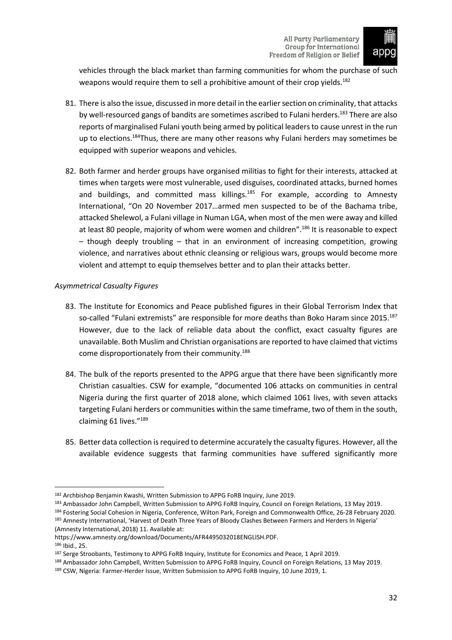

vehicles through the black market than farming communities for whom the purchase of such weapons would require them to sell a prohibitive amount of their crop yields.<sup>182</sup>

- 81. There is also the issue, discussed in more detail in the earlier section on criminality, that attacks by well-resourced gangs of bandits are sometimes ascribed to Fulani herders.<sup>183</sup> There are also reports of marginalised Fulani youth being armed by political leaders to cause unrest in the run up to elections.<sup>184</sup>Thus, there are many other reasons why Fulani herders may sometimes be equipped with superior weapons and vehicles.
- 82. Both farmer and herder groups have organised militias to fight for their interests, attacked at times when targets were most vulnerable, used disguises, coordinated attacks, burned homes and buildings, and committed mass killings.<sup>185</sup> For example, according to Amnesty International, "On 20 November 2017…armed men suspected to be of the Bachama tribe, attacked Shelewol, a Fulani village in Numan LGA, when most of the men were away and killed at least 80 people, majority of whom were women and children".<sup>186</sup> It is reasonable to expect  $-$  though deeply troubling  $-$  that in an environment of increasing competition, growing violence, and narratives about ethnic cleansing or religious wars, groups would become more violent and attempt to equip themselves better and to plan their attacks better.

# <span id="page-33-0"></span>*Asymmetrical Casualty Figures*

- 83. The Institute for Economics and Peace published figures in their Global Terrorism Index that so-called "Fulani extremists" are responsible for more deaths than Boko Haram since 2015.<sup>187</sup> However, due to the lack of reliable data about the conflict, exact casualty figures are unavailable. Both Muslim and Christian organisations are reported to have claimed that victims come disproportionately from their community.<sup>188</sup>
- 84. The bulk of the reports presented to the APPG argue that there have been significantly more Christian casualties. CSW for example, "documented 106 attacks on communities in central Nigeria during the first quarter of 2018 alone, which claimed 1061 lives, with seven attacks targeting Fulani herders or communities within the same timeframe, two of them in the south, claiming 61 lives."<sup>189</sup>
- 85. Better data collection is required to determine accurately the casualty figures. However, all the available evidence suggests that farming communities have suffered significantly more

- 183 Ambassador John Campbell, Written Submission to APPG FoRB Inquiry, Council on Foreign Relations, 13 May 2019. 184 Fostering Social Cohesion in Nigeria, Conference, Wilton Park, Foreign and Commonwealth Office, 26-28 February 2020. 185 Amnesty International, 'Harvest of Death Three Years of Bloody Clashes Between Farmers and Herders In Nigeria' (Amnesty International, 2018) 11. Available at:
- https://www.amnesty.org/download/Documents/AFR4495032018ENGLISH.PDF. <sup>186</sup> Ibid., 25.

<sup>182</sup> Archbishop Benjamin Kwashi, Written Submission to APPG FoRB Inquiry, June 2019.

<sup>187</sup> Serge Stroobants, Testimony to APPG FoRB Inquiry, Institute for Economics and Peace, 1 April 2019.

<sup>188</sup> Ambassador John Campbell, Written Submission to APPG FoRB Inquiry, Council on Foreign Relations, 13 May 2019.

<sup>189</sup> CSW, Nigeria: Farmer-Herder Issue, Written Submission to APPG FoRB Inquiry, 10 June 2019, 1.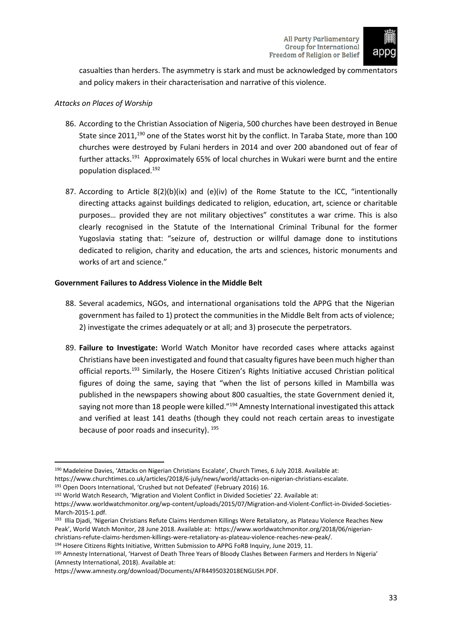

casualties than herders. The asymmetry is stark and must be acknowledged by commentators and policy makers in their characterisation and narrative of this violence.

# <span id="page-34-0"></span>*Attacks on Places of Worship*

- 86. According to the Christian Association of Nigeria, 500 churches have been destroyed in Benue State since 2011,<sup>190</sup> one of the States worst hit by the conflict. In Taraba State, more than 100 churches were destroyed by Fulani herders in 2014 and over 200 abandoned out of fear of further attacks.<sup>191</sup> Approximately 65% of local churches in Wukari were burnt and the entire population displaced.<sup>192</sup>
- 87. According to Article  $8(2)(b)(ix)$  and  $(e)(iv)$  of the Rome Statute to the ICC, "intentionally directing attacks against buildings dedicated to religion, education, art, science or charitable purposes… provided they are not military objectives" constitutes a war crime. This is also clearly recognised in the Statute of the International Criminal Tribunal for the former Yugoslavia stating that: "seizure of, destruction or willful damage done to institutions dedicated to religion, charity and education, the arts and sciences, historic monuments and works of art and science."

# <span id="page-34-1"></span>**Government Failures to Address Violence in the Middle Belt**

- 88. Several academics, NGOs, and international organisations told the APPG that the Nigerian government has failed to 1) protect the communities in the Middle Belt from acts of violence; 2) investigate the crimes adequately or at all; and 3) prosecute the perpetrators.
- 89. **Failure to Investigate:** World Watch Monitor have recorded cases where attacks against Christians have been investigated and found that casualty figures have been much higher than official reports.<sup>193</sup> Similarly, the Hosere Citizen's Rights Initiative accused Christian political figures of doing the same, saying that "when the list of persons killed in Mambilla was published in the newspapers showing about 800 casualties, the state Government denied it, saying not more than 18 people were killed."<sup>194</sup> Amnesty International investigated this attack and verified at least 141 deaths (though they could not reach certain areas to investigate because of poor roads and insecurity). 195

<sup>191</sup> Open Doors International, 'Crushed but not Defeated' (February 2016) 16.

<sup>192</sup> World Watch Research, 'Migration and Violent Conflict in Divided Societies' 22. Available at:

194 Hosere Citizens Rights Initiative, Written Submission to APPG FoRB Inquiry, June 2019, 11.

<sup>195</sup> Amnesty International, 'Harvest of Death Three Years of Bloody Clashes Between Farmers and Herders In Nigeria' (Amnesty International, 2018). Available at:

<sup>190</sup> Madeleine Davies, 'Attacks on Nigerian Christians Escalate', Church Times, 6 July 2018. Available at:

https://www.churchtimes.co.uk/articles/2018/6-july/news/world/attacks-on-nigerian-christians-escalate.

https://www.worldwatchmonitor.org/wp-content/uploads/2015/07/Migration-and-Violent-Conflict-in-Divided-Societies-March-2015-1.pdf.

<sup>&</sup>lt;sup>193</sup> Illia Djadi, 'Nigerian Christians Refute Claims Herdsmen Killings Were Retaliatory, as Plateau Violence Reaches New Peak', World Watch Monitor, 28 June 2018. Available at: https://www.worldwatchmonitor.org/2018/06/nigerianchristians-refute-claims-herdsmen-killings-were-retaliatory-as-plateau-violence-reaches-new-peak/.

https://www.amnesty.org/download/Documents/AFR4495032018ENGLISH.PDF.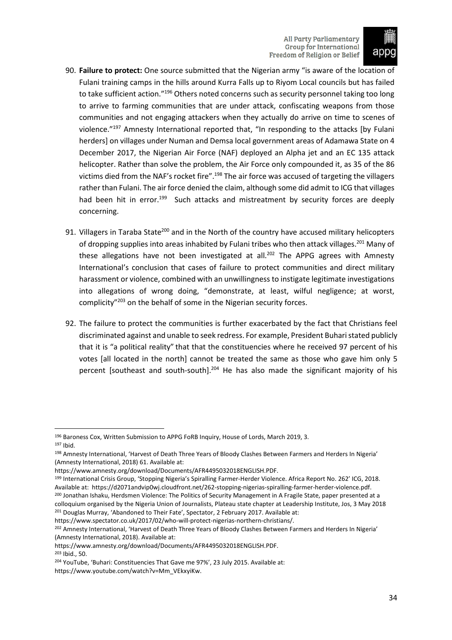

- 90. **Failure to protect:** One source submitted that the Nigerian army "is aware of the location of Fulani training camps in the hills around Kurra Falls up to Riyom Local councils but has failed to take sufficient action."<sup>196</sup> Others noted concerns such as security personnel taking too long to arrive to farming communities that are under attack, confiscating weapons from those communities and not engaging attackers when they actually do arrive on time to scenes of violence."<sup>197</sup> Amnesty International reported that, "In responding to the attacks [by Fulani herders] on villages under Numan and Demsa local government areas of Adamawa State on 4 December 2017, the Nigerian Air Force (NAF) deployed an Alpha jet and an EC 135 attack helicopter. Rather than solve the problem, the Air Force only compounded it, as 35 of the 86 victims died from the NAF's rocket fire".<sup>198</sup> The air force was accused of targeting the villagers rather than Fulani. The air force denied the claim, although some did admit to ICG that villages had been hit in error.<sup>199</sup> Such attacks and mistreatment by security forces are deeply concerning.
- 91. Villagers in Taraba State<sup>200</sup> and in the North of the country have accused military helicopters of dropping supplies into areas inhabited by Fulani tribes who then attack villages.<sup>201</sup> Many of these allegations have not been investigated at all.<sup>202</sup> The APPG agrees with Amnesty International's conclusion that cases of failure to protect communities and direct military harassment or violence, combined with an unwillingness to instigate legitimate investigations into allegations of wrong doing, "demonstrate, at least, wilful negligence; at worst, complicity"<sup>203</sup> on the behalf of some in the Nigerian security forces.
- 92. The failure to protect the communities is further exacerbated by the fact that Christians feel discriminated against and unable to seek redress. For example, President Buhari stated publicly that it is "a political reality" that that the constituencies where he received 97 percent of his votes [all located in the north] cannot be treated the same as those who gave him only 5 percent [southeast and south-south].<sup>204</sup> He has also made the significant majority of his

<sup>&</sup>lt;sup>196</sup> Baroness Cox, Written Submission to APPG FoRB Inquiry, House of Lords, March 2019, 3. <sup>197</sup> Ibid.

<sup>198</sup> Amnesty International, 'Harvest of Death Three Years of Bloody Clashes Between Farmers and Herders In Nigeria' (Amnesty International, 2018) 61. Available at:

https://www.amnesty.org/download/Documents/AFR4495032018ENGLISH.PDF.

<sup>199</sup> International Crisis Group, 'Stopping Nigeria's Spiralling Farmer-Herder Violence. Africa Report No. 262' ICG, 2018. Available at: [https://d2071andvip0wj.cloudfront.net/262-stopping-nigerias-spiralling-farmer-herder-violence.pdf.](https://d2071andvip0wj.cloudfront.net/262-stopping-nigerias-spiralling-farmer-herder-violence.pdf) <sup>200</sup> Jonathan Ishaku, Herdsmen Violence: The Politics of Security Management in A Fragile State, paper presented at a colloquium organised by the Nigeria Union of Journalists, Plateau state chapter at Leadership Institute, Jos, 3 May 2018 <sup>201</sup> Douglas Murray, 'Abandoned to Their Fate', Spectator, 2 February 2017. Available at:

https://www.spectator.co.uk/2017/02/who-will-protect-nigerias-northern-christians/.

<sup>202</sup> Amnesty International, 'Harvest of Death Three Years of Bloody Clashes Between Farmers and Herders In Nigeria' (Amnesty International, 2018). Available at:

https://www.amnesty.org/download/Documents/AFR4495032018ENGLISH.PDF. <sup>203</sup> Ibid., 50.

<sup>204</sup> YouTube, 'Buhari: Constituencies That Gave me 97%', 23 July 2015. Available at: https://www.youtube.com/watch?v=Mm\_VEkxyiKw.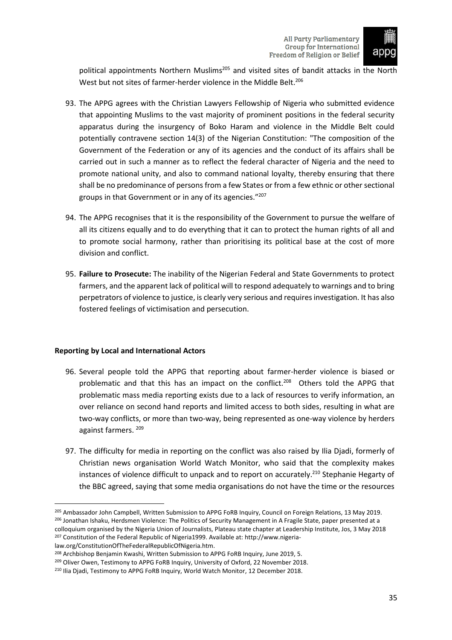

political appointments Northern Muslims<sup>205</sup> and visited sites of bandit attacks in the North West but not sites of farmer-herder violence in the Middle Belt.<sup>206</sup>

- 93. The APPG agrees with the Christian Lawyers Fellowship of Nigeria who submitted evidence that appointing Muslims to the vast majority of prominent positions in the federal security apparatus during the insurgency of Boko Haram and violence in the Middle Belt could potentially contravene section 14(3) of the Nigerian Constitution: "The composition of the Government of the Federation or any of its agencies and the conduct of its affairs shall be carried out in such a manner as to reflect the federal character of Nigeria and the need to promote national unity, and also to command national loyalty, thereby ensuring that there shall be no predominance of persons from a few States or from a few ethnic or other sectional groups in that Government or in any of its agencies."<sup>207</sup>
- 94. The APPG recognises that it is the responsibility of the Government to pursue the welfare of all its citizens equally and to do everything that it can to protect the human rights of all and to promote social harmony, rather than prioritising its political base at the cost of more division and conflict.
- 95. **Failure to Prosecute:** The inability of the Nigerian Federal and State Governments to protect farmers, and the apparent lack of political will to respond adequately to warnings and to bring perpetrators of violence to justice, is clearly very serious and requiresinvestigation. It has also fostered feelings of victimisation and persecution.

# <span id="page-36-0"></span>**Reporting by Local and International Actors**

- 96. Several people told the APPG that reporting about farmer-herder violence is biased or problematic and that this has an impact on the conflict.<sup>208</sup> Others told the APPG that problematic mass media reporting exists due to a lack of resources to verify information, an over reliance on second hand reports and limited access to both sides, resulting in what are two-way conflicts, or more than two-way, being represented as one-way violence by herders against farmers. <sup>209</sup>
- 97. The difficulty for media in reporting on the conflict was also raised by Ilia Djadi, formerly of Christian news organisation World Watch Monitor, who said that the complexity makes instances of violence difficult to unpack and to report on accurately.<sup>210</sup> Stephanie Hegarty of the BBC agreed, saying that some media organisations do not have the time or the resources

<sup>&</sup>lt;sup>205</sup> Ambassador John Campbell, Written Submission to APPG FoRB Inquiry, Council on Foreign Relations, 13 May 2019. <sup>206</sup> Jonathan Ishaku, Herdsmen Violence: The Politics of Security Management in A Fragile State, paper presented at a colloquium organised by the Nigeria Union of Journalists, Plateau state chapter at Leadership Institute, Jos, 3 May 2018 <sup>207</sup> Constitution of the Federal Republic of Nigeria1999. Available at: http://www.nigeria-

law.org/ConstitutionOfTheFederalRepublicOfNigeria.htm.

<sup>208</sup> Archbishop Benjamin Kwashi, Written Submission to APPG FoRB Inquiry, June 2019, 5.

<sup>&</sup>lt;sup>209</sup> Oliver Owen, Testimony to APPG FoRB Inquiry, University of Oxford, 22 November 2018.

<sup>210</sup> Ilia Djadi, Testimony to APPG FoRB Inquiry, World Watch Monitor, 12 December 2018.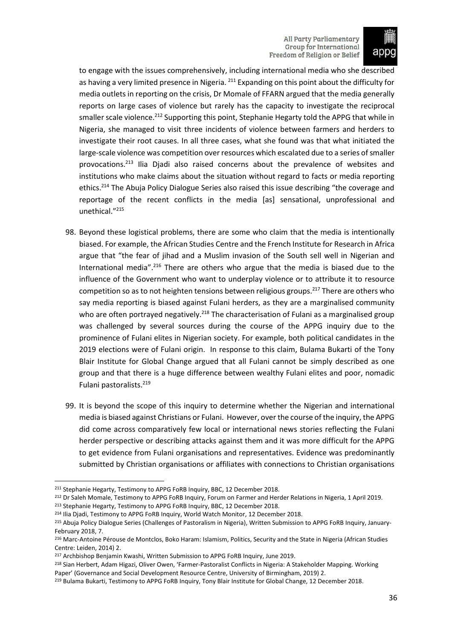

to engage with the issues comprehensively, including international media who she described as having a very limited presence in Nigeria. <sup>211</sup> Expanding on this point about the difficulty for media outlets in reporting on the crisis, Dr Momale of FFARN argued that the media generally reports on large cases of violence but rarely has the capacity to investigate the reciprocal smaller scale violence.<sup>212</sup> Supporting this point, Stephanie Hegarty told the APPG that while in Nigeria, she managed to visit three incidents of violence between farmers and herders to investigate their root causes. In all three cases, what she found was that what initiated the large-scale violence was competition over resources which escalated due to a series of smaller provocations.<sup>213</sup> Ilia Djadi also raised concerns about the prevalence of websites and institutions who make claims about the situation without regard to facts or media reporting ethics.<sup>214</sup> The Abuja Policy Dialogue Series also raised this issue describing "the coverage and reportage of the recent conflicts in the media [as] sensational, unprofessional and unethical."<sup>215</sup>

- 98. Beyond these logistical problems, there are some who claim that the media is intentionally biased. For example, the African Studies Centre and the French Institute for Research in Africa argue that "the fear of jihad and a Muslim invasion of the South sell well in Nigerian and International media".<sup>216</sup> There are others who argue that the media is biased due to the influence of the Government who want to underplay violence or to attribute it to resource competition so as to not heighten tensions between religious groups.<sup>217</sup> There are others who say media reporting is biased against Fulani herders, as they are a marginalised community who are often portrayed negatively.<sup>218</sup> The characterisation of Fulani as a marginalised group was challenged by several sources during the course of the APPG inquiry due to the prominence of Fulani elites in Nigerian society. For example, both political candidates in the 2019 elections were of Fulani origin. In response to this claim, Bulama Bukarti of the Tony Blair Institute for Global Change argued that all Fulani cannot be simply described as one group and that there is a huge difference between wealthy Fulani elites and poor, nomadic Fulani pastoralists. 219
- 99. It is beyond the scope of this inquiry to determine whether the Nigerian and international media is biased against Christians or Fulani. However, over the course of the inquiry, the APPG did come across comparatively few local or international news stories reflecting the Fulani herder perspective or describing attacks against them and it was more difficult for the APPG to get evidence from Fulani organisations and representatives. Evidence was predominantly submitted by Christian organisations or affiliates with connections to Christian organisations

<sup>211</sup> Stephanie Hegarty, Testimony to APPG FoRB Inquiry, BBC, 12 December 2018.

<sup>&</sup>lt;sup>212</sup> Dr Saleh Momale, Testimony to APPG FoRB Inquiry, Forum on Farmer and Herder Relations in Nigeria, 1 April 2019. <sup>213</sup> Stephanie Hegarty, Testimony to APPG FoRB Inquiry, BBC, 12 December 2018.

<sup>&</sup>lt;sup>214</sup> Ilia Djadi, Testimony to APPG FoRB Inquiry, World Watch Monitor, 12 December 2018.

<sup>215</sup> Abuja Policy Dialogue Series (Challenges of Pastoralism in Nigeria), Written Submission to APPG FoRB Inquiry, January-February 2018, 7.

<sup>216</sup> Marc-Antoine Pérouse de Montclos, Boko Haram: Islamism, Politics, Security and the State in Nigeria (African Studies Centre: Leiden, 2014) 2.

<sup>&</sup>lt;sup>217</sup> Archbishop Benjamin Kwashi, Written Submission to APPG FoRB Inquiry, June 2019.

<sup>218</sup> Sian Herbert, Adam Higazi, Oliver Owen, 'Farmer-Pastoralist Conflicts in Nigeria: A Stakeholder Mapping. Working Paper' (Governance and Social Development Resource Centre, University of Birmingham, 2019) 2.

<sup>&</sup>lt;sup>219</sup> Bulama Bukarti, Testimony to APPG FoRB Inquiry, Tony Blair Institute for Global Change, 12 December 2018.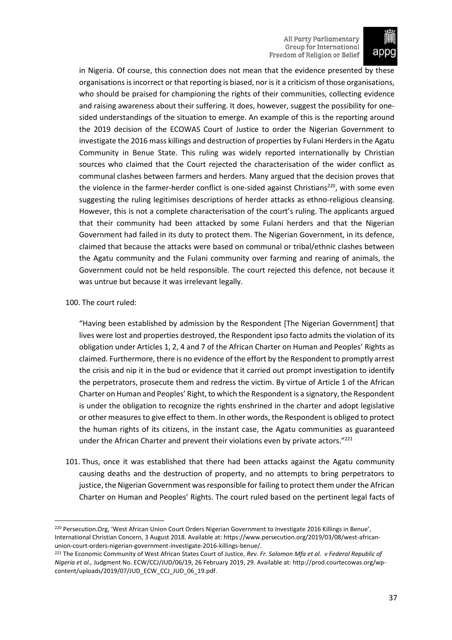

in Nigeria. Of course, this connection does not mean that the evidence presented by these organisations isincorrect or that reporting is biased, nor is it a criticism of those organisations, who should be praised for championing the rights of their communities, collecting evidence and raising awareness about their suffering. It does, however, suggest the possibility for onesided understandings of the situation to emerge. An example of this is the reporting around the 2019 decision of the ECOWAS Court of Justice to order the Nigerian Government to investigate the 2016 mass killings and destruction of properties by Fulani Herders in the Agatu Community in Benue State. This ruling was widely reported internationally by Christian sources who claimed that the Court rejected the characterisation of the wider conflict as communal clashes between farmers and herders. Many argued that the decision proves that the violence in the farmer-herder conflict is one-sided against Christians<sup>220</sup>, with some even suggesting the ruling legitimises descriptions of herder attacks as ethno-religious cleansing. However, this is not a complete characterisation of the court's ruling. The applicants argued that their community had been attacked by some Fulani herders and that the Nigerian Government had failed in its duty to protect them. The Nigerian Government, in its defence, claimed that because the attacks were based on communal or tribal/ethnic clashes between the Agatu community and the Fulani community over farming and rearing of animals, the Government could not be held responsible. The court rejected this defence, not because it was untrue but because it was irrelevant legally.

#### 100. The court ruled:

"Having been established by admission by the Respondent [The Nigerian Government] that lives were lost and properties destroyed, the Respondent ipso facto admits the violation of its obligation under Articles 1, 2, 4 and 7 of the African Charter on Human and Peoples' Rights as claimed. Furthermore, there is no evidence of the effort by the Respondent to promptly arrest the crisis and nip it in the bud or evidence that it carried out prompt investigation to identify the perpetrators, prosecute them and redress the victim. By virtue of Article 1 of the African Charter on Human and Peoples' Right, to which the Respondent is a signatory, the Respondent is under the obligation to recognize the rights enshrined in the charter and adopt legislative or other measures to give effect to them. In other words, the Respondent is obliged to protect the human rights of its citizens, in the instant case, the Agatu communities as guaranteed under the African Charter and prevent their violations even by private actors." $^{221}$ 

101. Thus, once it was established that there had been attacks against the Agatu community causing deaths and the destruction of property, and no attempts to bring perpetrators to justice, the Nigerian Government was responsible for failing to protect them under the African Charter on Human and Peoples' Rights. The court ruled based on the pertinent legal facts of

<sup>220</sup> Persecution.Org, 'West African Union Court Orders Nigerian Government to Investigate 2016 Killings in Benue', International Christian Concern, 3 August 2018. Available at: https://www.persecution.org/2019/03/08/west-africanunion-court-orders-nigerian-government-investigate-2016-killings-benue/.

<sup>221</sup> The Economic Community of West African States Court of Justice, *Rev. Fr. Solomon Mfa et al. v Federal Republic of Nigeria et al.,* Judgment No. ECW/CCJ/JUD/06/19, 26 February 2019, 29. Available at: http://prod.courtecowas.org/wpcontent/uploads/2019/07/JUD\_ECW\_CCJ\_JUD\_06\_19.pdf.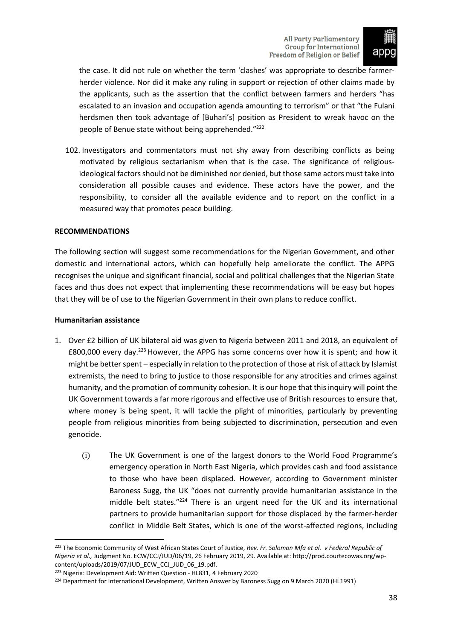

the case. It did not rule on whether the term 'clashes' was appropriate to describe farmerherder violence. Nor did it make any ruling in support or rejection of other claims made by the applicants, such as the assertion that the conflict between farmers and herders "has escalated to an invasion and occupation agenda amounting to terrorism" or that "the Fulani herdsmen then took advantage of [Buhari's] position as President to wreak havoc on the people of Benue state without being apprehended."<sup>222</sup>

102. Investigators and commentators must not shy away from describing conflicts as being motivated by religious sectarianism when that is the case. The significance of religiousideological factors should not be diminished nor denied, but those same actors must take into consideration all possible causes and evidence. These actors have the power, and the responsibility, to consider all the available evidence and to report on the conflict in a measured way that promotes peace building.

#### <span id="page-39-0"></span>**RECOMMENDATIONS**

The following section will suggest some recommendations for the Nigerian Government, and other domestic and international actors, which can hopefully help ameliorate the conflict. The APPG recognises the unique and significant financial, social and political challenges that the Nigerian State faces and thus does not expect that implementing these recommendations will be easy but hopes that they will be of use to the Nigerian Government in their own plans to reduce conflict.

#### <span id="page-39-1"></span>**Humanitarian assistance**

- 1. Over £2 billion of UK bilateral aid was given to Nigeria between 2011 and 2018, an equivalent of £800,000 every day.<sup>223</sup> However, the APPG has some concerns over how it is spent; and how it might be better spent – especially in relation to the protection of those at risk of attack by Islamist extremists, the need to bring to justice to those responsible for any atrocities and crimes against humanity, and the promotion of community cohesion. It is our hope that thisinquiry will point the UK Government towards a far more rigorous and effective use of British resources to ensure that, where money is being spent, it will tackle the plight of minorities, particularly by preventing people from religious minorities from being subjected to discrimination, persecution and even genocide.
	- (i) The UK Government is one of the largest donors to the World Food Programme's emergency operation in North East Nigeria, which provides cash and food assistance to those who have been displaced.  However, according to Government minister Baroness Sugg, the UK "does not currently provide humanitarian assistance in the middle belt states." $224$  There is an urgent need for the UK and its international partners to provide humanitarian support for those displaced by the farmer-herder conflict in Middle Belt States, which is one of the worst-affected regions, including

<sup>222</sup> The Economic Community of West African States Court of Justice, *Rev. Fr. Solomon Mfa et al. v Federal Republic of Nigeria et al.,* Judgment No. ECW/CCJ/JUD/06/19, 26 February 2019, 29. Available at: http://prod.courtecowas.org/wpcontent/uploads/2019/07/JUD\_ECW\_CCJ\_JUD\_06\_19.pdf.

<sup>223</sup> Nigeria: Development Aid: Written Question - HL831, 4 February 2020

<sup>224</sup> Department for International Development, Written Answer by Baroness Sugg on 9 March 2020 (HL1991)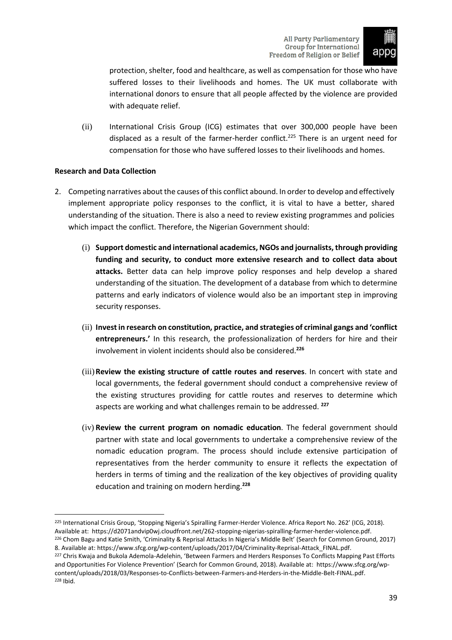

protection, shelter, food and healthcare, as well as compensation for those who have suffered losses to their livelihoods and homes. The UK must collaborate with international donors to ensure that all people affected by the violence are provided with adequate relief.

(ii) International Crisis Group (ICG) estimates that over 300,000 people have been displaced as a result of the farmer-herder conflict.<sup>225</sup> There is an urgent need for compensation for those who have suffered losses to their livelihoods and homes.

# <span id="page-40-0"></span>**Research and Data Collection**

- 2. Competing narratives about the causes of this conflict abound. In order to develop and effectively implement appropriate policy responses to the conflict, it is vital to have a better, shared understanding of the situation. There is also a need to review existing programmes and policies which impact the conflict. Therefore, the Nigerian Government should:
	- (i) **Support domestic and international academics, NGOs and journalists, through providing funding and security, to conduct more extensive research and to collect data about attacks.** Better data can help improve policy responses and help develop a shared understanding of the situation. The development of a database from which to determine patterns and early indicators of violence would also be an important step in improving security responses.
	- (ii) **Invest in research on constitution, practice, and strategies of criminal gangs and 'conflict entrepreneurs.'** In this research, the professionalization of herders for hire and their involvement in violent incidents should also be considered.**<sup>226</sup>**
	- (iii)**Review the existing structure of cattle routes and reserves**. In concert with state and local governments, the federal government should conduct a comprehensive review of the existing structures providing for cattle routes and reserves to determine which aspects are working and what challenges remain to be addressed. **<sup>227</sup>**
	- (iv) **Review the current program on nomadic education**. The federal government should partner with state and local governments to undertake a comprehensive review of the nomadic education program. The process should include extensive participation of representatives from the herder community to ensure it reflects the expectation of herders in terms of timing and the realization of the key objectives of providing quality education and training on modern herding.**<sup>228</sup>**

<sup>&</sup>lt;sup>225</sup> International Crisis Group, 'Stopping Nigeria's Spiralling Farmer-Herder Violence. Africa Report No. 262' (ICG, 2018). Available at: https://d2071andvip0wj.cloudfront.net/262-stopping-nigerias-spiralling-farmer-herder-violence.pdf.

<sup>226</sup> Chom Bagu and Katie Smith, 'Criminality & Reprisal Attacks In Nigeria's Middle Belt' (Search for Common Ground, 2017) 8. Available at: https://www.sfcg.org/wp-content/uploads/2017/04/Criminality-Reprisal-Attack\_FINAL.pdf.

<sup>&</sup>lt;sup>227</sup> Chris Kwaja and Bukola Ademola-Adelehin, 'Between Farmers and Herders Responses To Conflicts Mapping Past Efforts and Opportunities For Violence Prevention' (Search for Common Ground, 2018). Available at: https://www.sfcg.org/wpcontent/uploads/2018/03/Responses-to-Conflicts-between-Farmers-and-Herders-in-the-Middle-Belt-FINAL.pdf. <sup>228</sup> Ibid.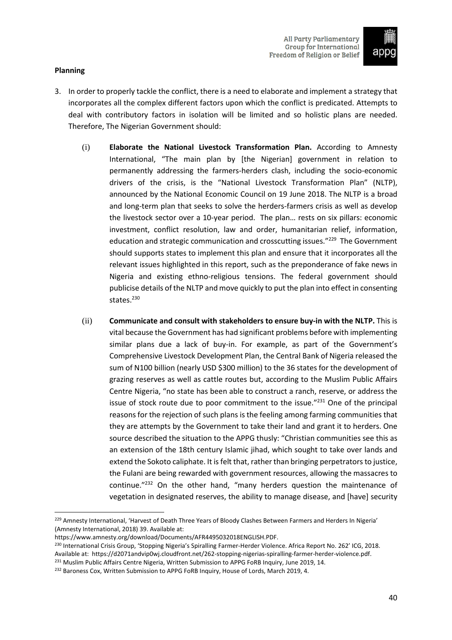

# <span id="page-41-0"></span>**Planning**

- 3. In order to properly tackle the conflict, there is a need to elaborate and implement a strategy that incorporates all the complex different factors upon which the conflict is predicated. Attempts to deal with contributory factors in isolation will be limited and so holistic plans are needed. Therefore, The Nigerian Government should:
	- (i) **Elaborate the National Livestock Transformation Plan.** According to Amnesty International, "The main plan by [the Nigerian] government in relation to permanently addressing the farmers-herders clash, including the socio-economic drivers of the crisis, is the "National Livestock Transformation Plan" (NLTP), announced by the National Economic Council on 19 June 2018. The NLTP is a broad and long-term plan that seeks to solve the herders-farmers crisis as well as develop the livestock sector over a 10-year period. The plan… rests on six pillars: economic investment, conflict resolution, law and order, humanitarian relief, information, education and strategic communication and crosscutting issues."<sup>229</sup> The Government should supports states to implement this plan and ensure that it incorporates all the relevant issues highlighted in this report, such as the preponderance of fake news in Nigeria and existing ethno-religious tensions. The federal government should publicise details of the NLTP and move quickly to put the plan into effect in consenting states.<sup>230</sup>
	- (ii) **Communicate and consult with stakeholders to ensure buy-in with the NLTP.** This is vital because the Government has had significant problems before with implementing similar plans due a lack of buy-in. For example, as part of the Government's Comprehensive Livestock Development Plan, the Central Bank of Nigeria released the sum of N100 billion (nearly USD \$300 million) to the 36 states for the development of grazing reserves as well as cattle routes but, according to the Muslim Public Affairs Centre Nigeria, "no state has been able to construct a ranch, reserve, or address the issue of stock route due to poor commitment to the issue."<sup>231</sup> One of the principal reasons for the rejection of such plans is the feeling among farming communities that they are attempts by the Government to take their land and grant it to herders. One source described the situation to the APPG thusly: "Christian communities see this as an extension of the 18th century Islamic jihad, which sought to take over lands and extend the Sokoto caliphate. It is felt that, rather than bringing perpetrators to justice, the Fulani are being rewarded with government resources, allowing the massacres to continue."<sup>232</sup> On the other hand, "many herders question the maintenance of vegetation in designated reserves, the ability to manage disease, and [have] security

<sup>&</sup>lt;sup>229</sup> Amnesty International, 'Harvest of Death Three Years of Bloody Clashes Between Farmers and Herders In Nigeria' (Amnesty International, 2018) 39. Available at:

https://www.amnesty.org/download/Documents/AFR4495032018ENGLISH.PDF.

<sup>&</sup>lt;sup>230</sup> International Crisis Group, 'Stopping Nigeria's Spiralling Farmer-Herder Violence. Africa Report No. 262' ICG, 2018. Available at: https://d2071andvip0wj.cloudfront.net/262-stopping-nigerias-spiralling-farmer-herder-violence.pdf.

<sup>&</sup>lt;sup>231</sup> Muslim Public Affairs Centre Nigeria, Written Submission to APPG FoRB Inquiry, June 2019, 14.

<sup>&</sup>lt;sup>232</sup> Baroness Cox, Written Submission to APPG FoRB Inquiry, House of Lords, March 2019, 4.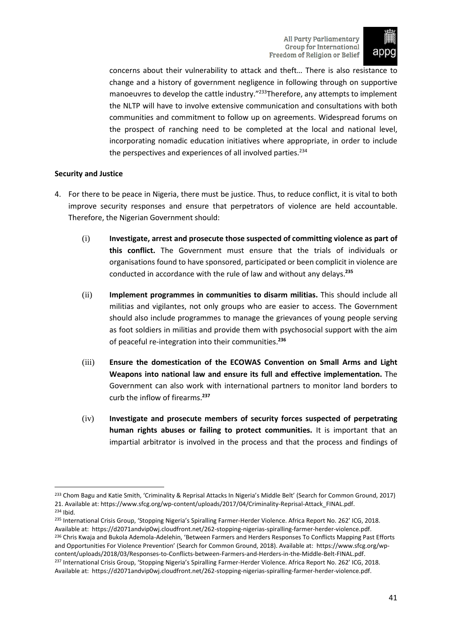

concerns about their vulnerability to attack and theft… There is also resistance to change and a history of government negligence in following through on supportive manoeuvres to develop the cattle industry."<sup>233</sup>Therefore, any attempts to implement the NLTP will have to involve extensive communication and consultations with both communities and commitment to follow up on agreements. Widespread forums on the prospect of ranching need to be completed at the local and national level, incorporating nomadic education initiatives where appropriate, in order to include the perspectives and experiences of all involved parties.<sup>234</sup>

# <span id="page-42-0"></span>**Security and Justice**

- 4. For there to be peace in Nigeria, there must be justice. Thus, to reduce conflict, it is vital to both improve security responses and ensure that perpetrators of violence are held accountable. Therefore, the Nigerian Government should:
	- (i) **Investigate, arrest and prosecute those suspected of committing violence as part of this conflict.** The Government must ensure that the trials of individuals or organisations found to have sponsored, participated or been complicit in violence are conducted in accordance with the rule of law and without any delays. **235**
	- (ii) **Implement programmes in communities to disarm militias.** This should include all militias and vigilantes, not only groups who are easier to access. The Government should also include programmes to manage the grievances of young people serving as foot soldiers in militias and provide them with psychosocial support with the aim of peaceful re-integration into their communities.**<sup>236</sup>**
	- (iii) **Ensure the domestication of the ECOWAS Convention on Small Arms and Light Weapons into national law and ensure its full and effective implementation.** The Government can also work with international partners to monitor land borders to curb the inflow of firearms.**<sup>237</sup>**
	- (iv) **Investigate and prosecute members of security forces suspected of perpetrating human rights abuses or failing to protect communities.** It is important that an impartial arbitrator is involved in the process and that the process and findings of

<sup>233</sup> Chom Bagu and Katie Smith, 'Criminality & Reprisal Attacks In Nigeria's Middle Belt' (Search for Common Ground, 2017) 21. Available at: https://www.sfcg.org/wp-content/uploads/2017/04/Criminality-Reprisal-Attack\_FINAL.pdf. <sup>234</sup> Ibid.

<sup>&</sup>lt;sup>235</sup> International Crisis Group, 'Stopping Nigeria's Spiralling Farmer-Herder Violence. Africa Report No. 262' ICG, 2018. Available at: https://d2071andvip0wj.cloudfront.net/262-stopping-nigerias-spiralling-farmer-herder-violence.pdf. <sup>236</sup> Chris Kwaja and Bukola Ademola-Adelehin, 'Between Farmers and Herders Responses To Conflicts Mapping Past Efforts and Opportunities For Violence Prevention' (Search for Common Ground, 2018). Available at: https://www.sfcg.org/wpcontent/uploads/2018/03/Responses-to-Conflicts-between-Farmers-and-Herders-in-the-Middle-Belt-FINAL.pdf. <sup>237</sup> International Crisis Group, 'Stopping Nigeria's Spiralling Farmer-Herder Violence. Africa Report No. 262' ICG, 2018.

Available at: https://d2071andvip0wj.cloudfront.net/262-stopping-nigerias-spiralling-farmer-herder-violence.pdf.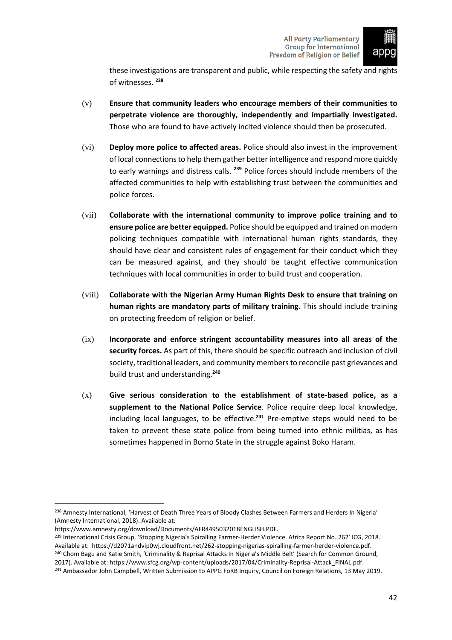

these investigations are transparent and public, while respecting the safety and rights of witnesses. **<sup>238</sup>**

- (v) **Ensure that community leaders who encourage members of their communities to perpetrate violence are thoroughly, independently and impartially investigated.** Those who are found to have actively incited violence should then be prosecuted.
- (vi) **Deploy more police to affected areas.** Police should also invest in the improvement of local connectionsto help them gather better intelligence and respond more quickly to early warnings and distress calls. **<sup>239</sup>** Police forces should include members of the affected communities to help with establishing trust between the communities and police forces.
- (vii) **Collaborate with the international community to improve police training and to ensure police are better equipped.** Police should be equipped and trained on modern policing techniques compatible with international human rights standards, they should have clear and consistent rules of engagement for their conduct which they can be measured against, and they should be taught effective communication techniques with local communities in order to build trust and cooperation.
- (viii) **Collaborate with the Nigerian Army Human Rights Desk to ensure that training on human rights are mandatory parts of military training.** This should include training on protecting freedom of religion or belief.
- (ix) **Incorporate and enforce stringent accountability measures into all areas of the security forces.** As part of this, there should be specific outreach and inclusion of civil society, traditional leaders, and community members to reconcile past grievances and build trust and understanding.**<sup>240</sup>**
- (x) **Give serious consideration to the establishment of state-based police, as a supplement to the National Police Service**. Police require deep local knowledge, including local languages, to be effective.**<sup>241</sup>** Pre-emptive steps would need to be taken to prevent these state police from being turned into ethnic militias, as has sometimes happened in Borno State in the struggle against Boko Haram.

<sup>&</sup>lt;sup>238</sup> Amnesty International, 'Harvest of Death Three Years of Bloody Clashes Between Farmers and Herders In Nigeria' (Amnesty International, 2018). Available at:

https://www.amnesty.org/download/Documents/AFR4495032018ENGLISH.PDF.

<sup>&</sup>lt;sup>239</sup> International Crisis Group, 'Stopping Nigeria's Spiralling Farmer-Herder Violence. Africa Report No. 262' ICG, 2018. Available at: https://d2071andvip0wj.cloudfront.net/262-stopping-nigerias-spiralling-farmer-herder-violence.pdf. <sup>240</sup> Chom Bagu and Katie Smith, 'Criminality & Reprisal Attacks In Nigeria's Middle Belt' (Search for Common Ground, 2017). Available at: https://www.sfcg.org/wp-content/uploads/2017/04/Criminality-Reprisal-Attack\_FINAL.pdf.

<sup>&</sup>lt;sup>241</sup> Ambassador John Campbell, Written Submission to APPG FoRB Inquiry, Council on Foreign Relations, 13 May 2019.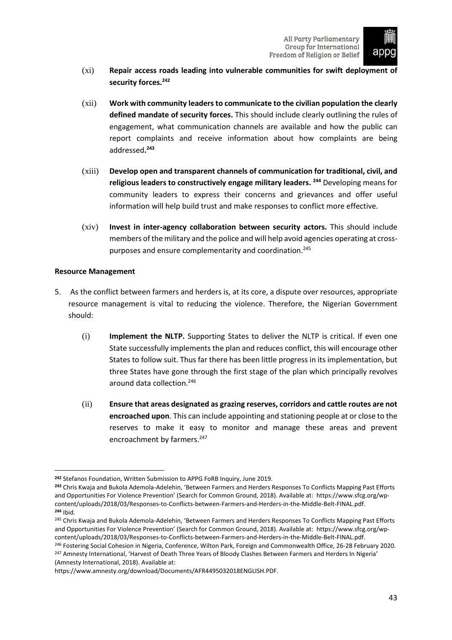

- (xi) **Repair access roads leading into vulnerable communities for swift deployment of security forces.<sup>242</sup>**
- (xii) **Work with community leaders to communicate to the civilian population the clearly defined mandate of security forces.** This should include clearly outlining the rules of engagement, what communication channels are available and how the public can report complaints and receive information about how complaints are being addressed**. 243**
- (xiii) **Develop open and transparent channels of communication for traditional, civil, and religious leaders to constructively engage military leaders. <sup>244</sup>** Developing means for community leaders to express their concerns and grievances and offer useful information will help build trust and make responses to conflict more effective.
- (xiv) **Invest in inter-agency collaboration between security actors.** This should include members ofthe military and the police and will help avoid agencies operating at crosspurposes and ensure complementarity and coordination.<sup>245</sup>

# <span id="page-44-0"></span>**Resource Management**

- 5. As the conflict between farmers and herders is, at its core, a dispute over resources, appropriate resource management is vital to reducing the violence. Therefore, the Nigerian Government should:
	- (i) **Implement the NLTP.** Supporting States to deliver the NLTP is critical. If even one State successfully implements the plan and reduces conflict, this will encourage other States to follow suit. Thus far there has been little progress in its implementation, but three States have gone through the first stage of the plan which principally revolves around data collection.<sup>246</sup>
	- (ii) **Ensure that areas designated as grazing reserves, corridors and cattle routes are not encroached upon**. This can include appointing and stationing people at or close to the reserves to make it easy to monitor and manage these areas and prevent encroachment by farmers.<sup>247</sup>

<sup>246</sup> Fostering Social Cohesion in Nigeria, Conference, Wilton Park, Foreign and Commonwealth Office, 26-28 February 2020. <sup>247</sup> Amnesty International, 'Harvest of Death Three Years of Bloody Clashes Between Farmers and Herders In Nigeria' (Amnesty International, 2018). Available at:

**<sup>242</sup>** Stefanos Foundation, Written Submission to APPG FoRB Inquiry, June 2019.

**<sup>243</sup>** Chris Kwaja and Bukola Ademola-Adelehin, 'Between Farmers and Herders Responses To Conflicts Mapping Past Efforts and Opportunities For Violence Prevention' (Search for Common Ground, 2018). Available at: https://www.sfcg.org/wpcontent/uploads/2018/03/Responses-to-Conflicts-between-Farmers-and-Herders-in-the-Middle-Belt-FINAL.pdf. **<sup>244</sup>** Ibid.

<sup>&</sup>lt;sup>245</sup> Chris Kwaja and Bukola Ademola-Adelehin, 'Between Farmers and Herders Responses To Conflicts Mapping Past Efforts and Opportunities For Violence Prevention' (Search for Common Ground, 2018). Available at: https://www.sfcg.org/wpcontent/uploads/2018/03/Responses-to-Conflicts-between-Farmers-and-Herders-in-the-Middle-Belt-FINAL.pdf.

https://www.amnesty.org/download/Documents/AFR4495032018ENGLISH.PDF.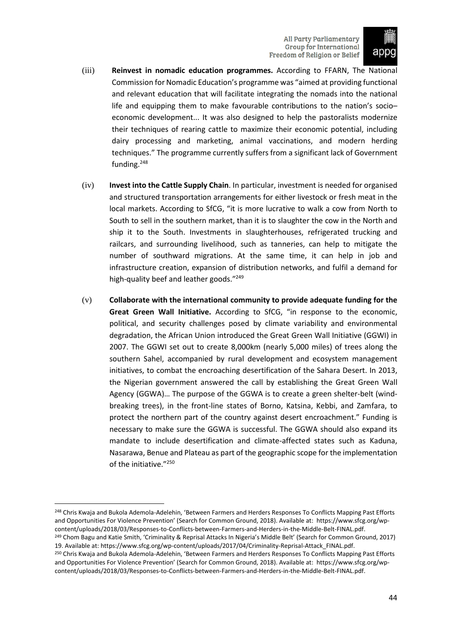

- (iii) **Reinvest in nomadic education programmes.** According to FFARN, The National Commission for Nomadic Education's programme was "aimed at providing functional and relevant education that will facilitate integrating the nomads into the national life and equipping them to make favourable contributions to the nation's socio– economic development... It was also designed to help the pastoralists modernize their techniques of rearing cattle to maximize their economic potential, including dairy processing and marketing, animal vaccinations, and modern herding techniques." The programme currently suffers from a significant lack of Government funding.<sup>248</sup>
- (iv) **Invest into the Cattle Supply Chain**. In particular, investment is needed for organised and structured transportation arrangements for either livestock or fresh meat in the local markets. According to SfCG, "it is more lucrative to walk a cow from North to South to sell in the southern market, than it is to slaughter the cow in the North and ship it to the South. Investments in slaughterhouses, refrigerated trucking and railcars, and surrounding livelihood, such as tanneries, can help to mitigate the number of southward migrations. At the same time, it can help in job and infrastructure creation, expansion of distribution networks, and fulfil a demand for high-quality beef and leather goods."<sup>249</sup>
- (v) **Collaborate with the international community to provide adequate funding for the Great Green Wall Initiative.** According to SfCG, "in response to the economic, political, and security challenges posed by climate variability and environmental degradation, the African Union introduced the Great Green Wall Initiative (GGWI) in 2007. The GGWI set out to create 8,000km (nearly 5,000 miles) of trees along the southern Sahel, accompanied by rural development and ecosystem management initiatives, to combat the encroaching desertification of the Sahara Desert. In 2013, the Nigerian government answered the call by establishing the Great Green Wall Agency (GGWA)… The purpose of the GGWA is to create a green shelter-belt (windbreaking trees), in the front-line states of Borno, Katsina, Kebbi, and Zamfara, to protect the northern part of the country against desert encroachment." Funding is necessary to make sure the GGWA is successful. The GGWA should also expand its mandate to include desertification and climate-affected states such as Kaduna, Nasarawa, Benue and Plateau as part of the geographic scope for the implementation of the initiative."<sup>250</sup>

<sup>&</sup>lt;sup>248</sup> Chris Kwaja and Bukola Ademola-Adelehin, 'Between Farmers and Herders Responses To Conflicts Mapping Past Efforts and Opportunities For Violence Prevention' (Search for Common Ground, 2018). Available at: https://www.sfcg.org/wpcontent/uploads/2018/03/Responses-to-Conflicts-between-Farmers-and-Herders-in-the-Middle-Belt-FINAL.pdf. <sup>249</sup> Chom Bagu and Katie Smith, 'Criminality & Reprisal Attacks In Nigeria's Middle Belt' (Search for Common Ground, 2017)

<sup>19.</sup> Available at: https://www.sfcg.org/wp-content/uploads/2017/04/Criminality-Reprisal-Attack\_FINAL.pdf.

<sup>250</sup> Chris Kwaja and Bukola Ademola-Adelehin, 'Between Farmers and Herders Responses To Conflicts Mapping Past Efforts and Opportunities For Violence Prevention' (Search for Common Ground, 2018). Available at: https://www.sfcg.org/wpcontent/uploads/2018/03/Responses-to-Conflicts-between-Farmers-and-Herders-in-the-Middle-Belt-FINAL.pdf.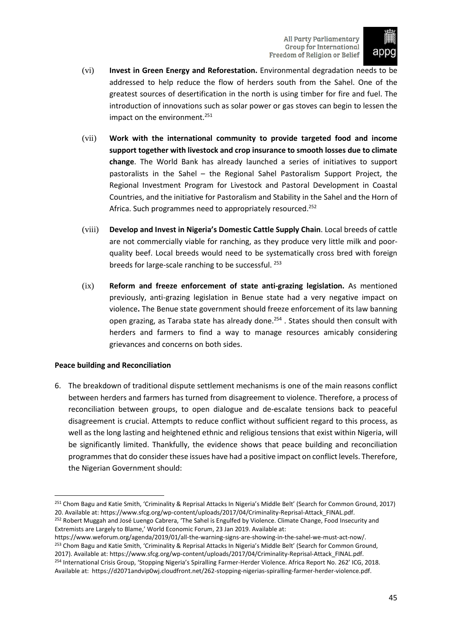

- (vi) **Invest in Green Energy and Reforestation.** Environmental degradation needs to be addressed to help reduce the flow of herders south from the Sahel. One of the greatest sources of desertification in the north is using timber for fire and fuel. The introduction of innovations such as solar power or gas stoves can begin to lessen the impact on the environment.<sup>251</sup>
- (vii) **Work with the international community to provide targeted food and income support together with livestock and crop insurance to smooth losses due to climate change**. The World Bank has already launched a series of initiatives to support pastoralists in the Sahel – the Regional Sahel Pastoralism Support Project, the Regional Investment Program for Livestock and Pastoral Development in Coastal Countries, and the initiative for Pastoralism and Stability in the Sahel and the Horn of Africa. Such programmes need to appropriately resourced.<sup>252</sup>
- (viii) **Develop and Invest in Nigeria's Domestic Cattle Supply Chain**. Local breeds of cattle are not commercially viable for ranching, as they produce very little milk and poorquality beef. Local breeds would need to be systematically cross bred with foreign breeds for large-scale ranching to be successful. <sup>253</sup>
- (ix) **Reform and freeze enforcement of state anti-grazing legislation.** As mentioned previously, anti-grazing legislation in Benue state had a very negative impact on violence**.** The Benue state government should freeze enforcement of its law banning open grazing, as Taraba state has already done.<sup>254</sup> . States should then consult with herders and farmers to find a way to manage resources amicably considering grievances and concerns on both sides.

# <span id="page-46-0"></span>**Peace building and Reconciliation**

6. The breakdown of traditional dispute settlement mechanisms is one of the main reasons conflict between herders and farmers has turned from disagreement to violence. Therefore, a process of reconciliation between groups, to open dialogue and de-escalate tensions back to peaceful disagreement is crucial. Attempts to reduce conflict without sufficient regard to this process, as well as the long lasting and heightened ethnic and religious tensions that exist within Nigeria, will be significantly limited. Thankfully, the evidence shows that peace building and reconciliation programmesthat do consider these issues have had a positive impact on conflict levels. Therefore, the Nigerian Government should:

Extremists are Largely to Blame,' World Economic Forum, 23 Jan 2019. Available at:

https://www.weforum.org/agenda/2019/01/all-the-warning-signs-are-showing-in-the-sahel-we-must-act-now/. <sup>253</sup> Chom Bagu and Katie Smith, 'Criminality & Reprisal Attacks In Nigeria's Middle Belt' (Search for Common Ground, 2017). Available at: https://www.sfcg.org/wp-content/uploads/2017/04/Criminality-Reprisal-Attack\_FINAL.pdf.

<sup>251</sup> Chom Bagu and Katie Smith, 'Criminality & Reprisal Attacks In Nigeria's Middle Belt' (Search for Common Ground, 2017) 20. Available at: https://www.sfcg.org/wp-content/uploads/2017/04/Criminality-Reprisal-Attack\_FINAL.pdf. <sup>252</sup> Robert Muggah and José Luengo Cabrera, 'The Sahel is Engulfed by Violence. Climate Change, Food Insecurity and

<sup>254</sup> International Crisis Group, 'Stopping Nigeria's Spiralling Farmer-Herder Violence. Africa Report No. 262' ICG, 2018. Available at: https://d2071andvip0wj.cloudfront.net/262-stopping-nigerias-spiralling-farmer-herder-violence.pdf.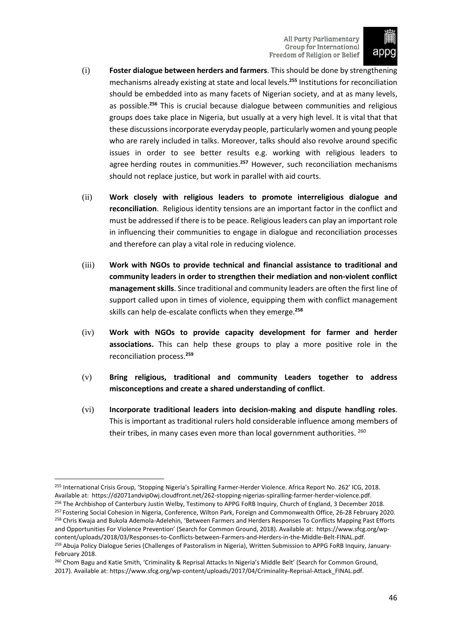

- (i) **Foster dialogue between herders and farmers**. Thisshould be done by strengthening mechanisms already existing at state and local levels.**<sup>255</sup>** Institutions for reconciliation should be embedded into as many facets of Nigerian society, and at as many levels, as possible.**<sup>256</sup>** This is crucial because dialogue between communities and religious groups does take place in Nigeria, but usually at a very high level. It is vital that that these discussionsincorporate everyday people, particularly women and young people who are rarely included in talks. Moreover, talks should also revolve around specific issues in order to see better results e.g. working with religious leaders to agree herding routes in communities.**<sup>257</sup>** However, such reconciliation mechanisms should not replace justice, but work in parallel with aid courts.
- (ii) **Work closely with religious leaders to promote interreligious dialogue and reconciliation**. Religious identity tensions are an important factor in the conflict and must be addressed if there is to be peace. Religious leaders can play an important role in influencing their communities to engage in dialogue and reconciliation processes and therefore can play a vital role in reducing violence.
- (iii) **Work with NGOs to provide technical and financial assistance to traditional and community leaders in order to strengthen their mediation and non-violent conflict** management skills. Since traditional and community leaders are often the first line of support called upon in times of violence, equipping them with conflict management skills can help de-escalate conflicts when they emerge.**<sup>258</sup>**
- (iv) **Work with NGOs to provide capacity development for farmer and herder associations.** This can help these groups to play a more positive role in the reconciliation process.**<sup>259</sup>**
- (v) **Bring religious, traditional and community Leaders together to address misconceptions and create a shared understanding of conflict**.
- (vi) **Incorporate traditional leaders into decision-making and dispute handling roles**. This is important as traditional rulers hold considerable influence among members of their tribes, in many cases even more than local government authorities. <sup>260</sup>

<sup>&</sup>lt;sup>255</sup> International Crisis Group, 'Stopping Nigeria's Spiralling Farmer-Herder Violence. Africa Report No. 262' ICG, 2018. Available at: https://d2071andvip0wj.cloudfront.net/262-stopping-nigerias-spiralling-farmer-herder-violence.pdf. <sup>256</sup> The Archbishop of Canterbury Justin Welby, Testimony to APPG FoRB Inquiry, Church of England, 3 December 2018. <sup>257</sup> Fostering Social Cohesion in Nigeria, Conference, Wilton Park, Foreign and Commonwealth Office, 26-28 February 2020. <sup>258</sup> Chris Kwaja and Bukola Ademola-Adelehin, 'Between Farmers and Herders Responses To Conflicts Mapping Past Efforts and Opportunities For Violence Prevention' (Search for Common Ground, 2018). Available at: https://www.sfcg.org/wpcontent/uploads/2018/03/Responses-to-Conflicts-between-Farmers-and-Herders-in-the-Middle-Belt-FINAL.pdf. <sup>259</sup> Abuja Policy Dialogue Series (Challenges of Pastoralism in Nigeria), Written Submission to APPG FoRB Inquiry, January-February 2018.

<sup>&</sup>lt;sup>260</sup> Chom Bagu and Katie Smith, 'Criminality & Reprisal Attacks In Nigeria's Middle Belt' (Search for Common Ground, 2017). Available at: https://www.sfcg.org/wp-content/uploads/2017/04/Criminality-Reprisal-Attack\_FINAL.pdf.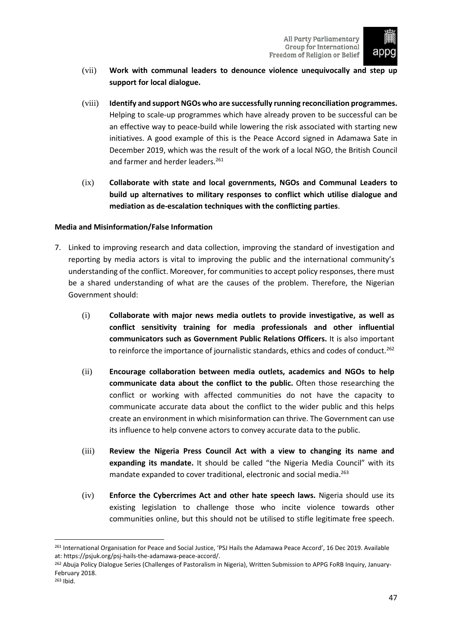

- (vii) **Work with communal leaders to denounce violence unequivocally and step up support for local dialogue.**
- (viii) **Identify and support NGOs who are successfully running reconciliation programmes.**  Helping to scale-up programmes which have already proven to be successful can be an effective way to peace-build while lowering the risk associated with starting new initiatives. A good example of this is the Peace Accord signed in Adamawa Sate in December 2019, which was the result of the work of a local NGO, the British Council and farmer and herder leaders.<sup>261</sup>
- (ix) **Collaborate with state and local governments, NGOs and Communal Leaders to build up alternatives to military responses to conflict which utilise dialogue and mediation as de-escalation techniques with the conflicting parties**.

# <span id="page-48-0"></span>**Media and Misinformation/False Information**

- 7. Linked to improving research and data collection, improving the standard of investigation and reporting by media actors is vital to improving the public and the international community's understanding of the conflict. Moreover, for communities to accept policy responses, there must be a shared understanding of what are the causes of the problem. Therefore, the Nigerian Government should:
	- (i) **Collaborate with major news media outlets to provide investigative, as well as conflict sensitivity training for media professionals and other influential communicators such as Government Public Relations Officers.** It is also important to reinforce the importance of journalistic standards, ethics and codes of conduct.<sup>262</sup>
	- (ii) **Encourage collaboration between media outlets, academics and NGOs to help communicate data about the conflict to the public.** Often those researching the conflict or working with affected communities do not have the capacity to communicate accurate data about the conflict to the wider public and this helps create an environment in which misinformation can thrive. The Government can use its influence to help convene actors to convey accurate data to the public.
	- (iii) **Review the Nigeria Press Council Act with a view to changing its name and expanding its mandate.** It should be called "the Nigeria Media Council" with its mandate expanded to cover traditional, electronic and social media.<sup>263</sup>
	- (iv) **Enforce the Cybercrimes Act and other hate speech laws.** Nigeria should use its existing legislation to challenge those who incite violence towards other communities online, but this should not be utilised to stifle legitimate free speech.

<sup>261</sup> International Organisation for Peace and Social Justice, 'PSJ Hails the Adamawa Peace Accord', 16 Dec 2019. Available at: https://psjuk.org/psj-hails-the-adamawa-peace-accord/.

<sup>&</sup>lt;sup>262</sup> Abuja Policy Dialogue Series (Challenges of Pastoralism in Nigeria), Written Submission to APPG FoRB Inquiry, January-February 2018. <sup>263</sup> Ibid.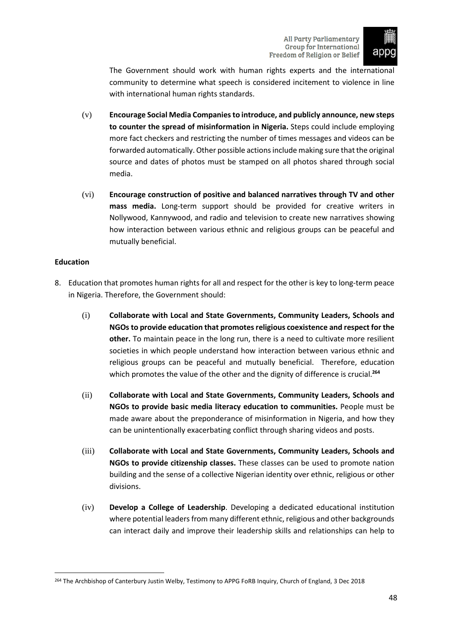

The Government should work with human rights experts and the international community to determine what speech is considered incitement to violence in line with international human rights standards.

- (v) **Encourage Social Media Companiesto introduce, and publicly announce, new steps to counter the spread of misinformation in Nigeria.** Steps could include employing more fact checkers and restricting the number of times messages and videos can be forwarded automatically. Other possible actions include making sure that the original source and dates of photos must be stamped on all photos shared through social media.
- (vi) **Encourage construction of positive and balanced narratives through TV and other mass media.** Long-term support should be provided for creative writers in Nollywood, Kannywood, and radio and television to create new narratives showing how interaction between various ethnic and religious groups can be peaceful and mutually beneficial.

# <span id="page-49-0"></span>**Education**

- 8. Education that promotes human rights for all and respect for the other is key to long-term peace in Nigeria. Therefore, the Government should:
	- (i) **Collaborate with Local and State Governments, Community Leaders, Schools and NGOs to provide education that promotesreligious coexistence and respect for the other.** To maintain peace in the long run, there is a need to cultivate more resilient societies in which people understand how interaction between various ethnic and religious groups can be peaceful and mutually beneficial. Therefore, education which promotes the value of the other and the dignity of difference is crucial.<sup>264</sup>
	- (ii) **Collaborate with Local and State Governments, Community Leaders, Schools and NGOs to provide basic media literacy education to communities.** People must be made aware about the preponderance of misinformation in Nigeria, and how they can be unintentionally exacerbating conflict through sharing videos and posts.
	- (iii) **Collaborate with Local and State Governments, Community Leaders, Schools and NGOs to provide citizenship classes.** These classes can be used to promote nation building and the sense of a collective Nigerian identity over ethnic, religious or other divisions.
	- (iv) **Develop a College of Leadership**. Developing a dedicated educational institution where potential leaders from many different ethnic, religious and other backgrounds can interact daily and improve their leadership skills and relationships can help to

<sup>&</sup>lt;sup>264</sup> The Archbishop of Canterbury Justin Welby, Testimony to APPG FoRB Inquiry, Church of England, 3 Dec 2018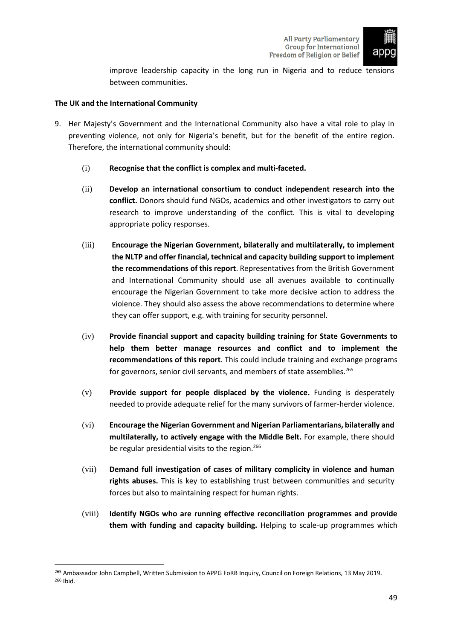

improve leadership capacity in the long run in Nigeria and to reduce tensions between communities.

# <span id="page-50-0"></span>**The UK and the International Community**

- 9. Her Majesty's Government and the International Community also have a vital role to play in preventing violence, not only for Nigeria's benefit, but for the benefit of the entire region. Therefore, the international community should:
	- (i) **Recognise that the conflict is complex and multi-faceted.**
	- (ii) **Develop an international consortium to conduct independent research into the conflict.** Donors should fund NGOs, academics and other investigators to carry out research to improve understanding of the conflict. This is vital to developing appropriate policy responses.
	- (iii) **Encourage the Nigerian Government, bilaterally and multilaterally, to implement the NLTP and offer financial, technical and capacity building support to implement the recommendations of this report**. Representatives from the British Government and International Community should use all avenues available to continually encourage the Nigerian Government to take more decisive action to address the violence. They should also assess the above recommendations to determine where they can offer support, e.g. with training for security personnel.
	- (iv) **Provide financial support and capacity building training for State Governments to help them better manage resources and conflict and to implement the recommendations of this report**. This could include training and exchange programs for governors, senior civil servants, and members of state assemblies.<sup>265</sup>
	- (v) **Provide support for people displaced by the violence.** Funding is desperately needed to provide adequate relief for the many survivors of farmer-herder violence.
	- (vi) **Encourage the Nigerian Government and Nigerian Parliamentarians, bilaterally and multilaterally, to actively engage with the Middle Belt.** For example, there should be regular presidential visits to the region.<sup>266</sup>
	- (vii) **Demand full investigation of cases of military complicity in violence and human rights abuses.** This is key to establishing trust between communities and security forces but also to maintaining respect for human rights.
	- (viii) **Identify NGOs who are running effective reconciliation programmes and provide them with funding and capacity building.** Helping to scale-up programmes which

<sup>&</sup>lt;sup>265</sup> Ambassador John Campbell, Written Submission to APPG FoRB Inquiry, Council on Foreign Relations, 13 May 2019. <sup>266</sup> Ibid.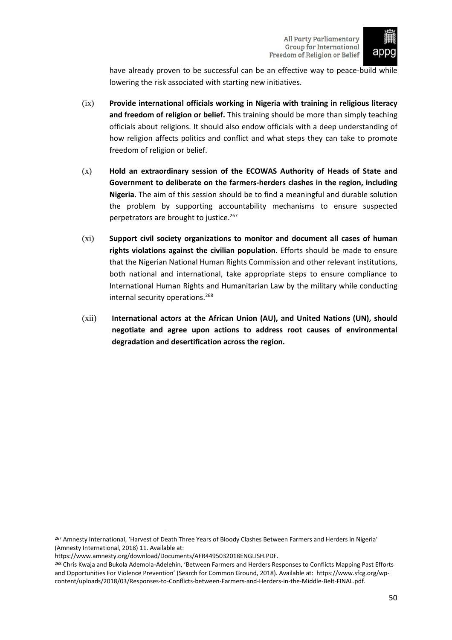

have already proven to be successful can be an effective way to peace-build while lowering the risk associated with starting new initiatives.

- (ix) **Provide international officials working in Nigeria with training in religious literacy and freedom of religion or belief.** This training should be more than simply teaching officials about religions. It should also endow officials with a deep understanding of how religion affects politics and conflict and what steps they can take to promote freedom of religion or belief.
- (x) **Hold an extraordinary session of the ECOWAS Authority of Heads of State and Government to deliberate on the farmers-herders clashes in the region, including Nigeria**. The aim of this session should be to find a meaningful and durable solution the problem by supporting accountability mechanisms to ensure suspected perpetrators are brought to justice.<sup>267</sup>
- (xi) **Support civil society organizations to monitor and document all cases of human rights violations against the civilian population**. Efforts should be made to ensure that the Nigerian National Human Rights Commission and other relevant institutions, both national and international, take appropriate steps to ensure compliance to International Human Rights and Humanitarian Law by the military while conducting internal security operations.<sup>268</sup>
- (xii) **International actors at the African Union (AU), and United Nations (UN), should negotiate and agree upon actions to address root causes of environmental degradation and desertification across the region.**

<sup>&</sup>lt;sup>267</sup> Amnesty International, 'Harvest of Death Three Years of Bloody Clashes Between Farmers and Herders in Nigeria' (Amnesty International, 2018) 11. Available at:

https://www.amnesty.org/download/Documents/AFR4495032018ENGLISH.PDF.

<sup>268</sup> Chris Kwaja and Bukola Ademola-Adelehin, 'Between Farmers and Herders Responses to Conflicts Mapping Past Efforts and Opportunities For Violence Prevention' (Search for Common Ground, 2018). Available at: https://www.sfcg.org/wpcontent/uploads/2018/03/Responses-to-Conflicts-between-Farmers-and-Herders-in-the-Middle-Belt-FINAL.pdf.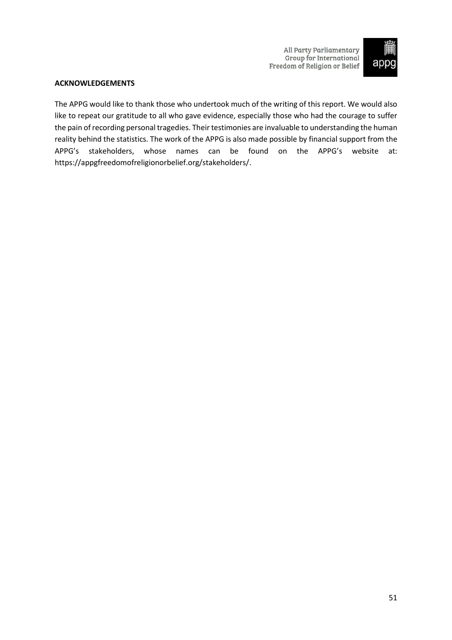

# <span id="page-52-0"></span>**ACKNOWLEDGEMENTS**

The APPG would like to thank those who undertook much of the writing of this report. We would also like to repeat our gratitude to all who gave evidence, especially those who had the courage to suffer the pain of recording personal tragedies. Their testimonies are invaluable to understanding the human reality behind the statistics. The work of the APPG is also made possible by financial support from the APPG's stakeholders, whose names can be found on the APPG's website at: [https://appgfreedomofreligionorbelief.org/stakeholders/.](https://appgfreedomofreligionorbelief.org/stakeholders/)